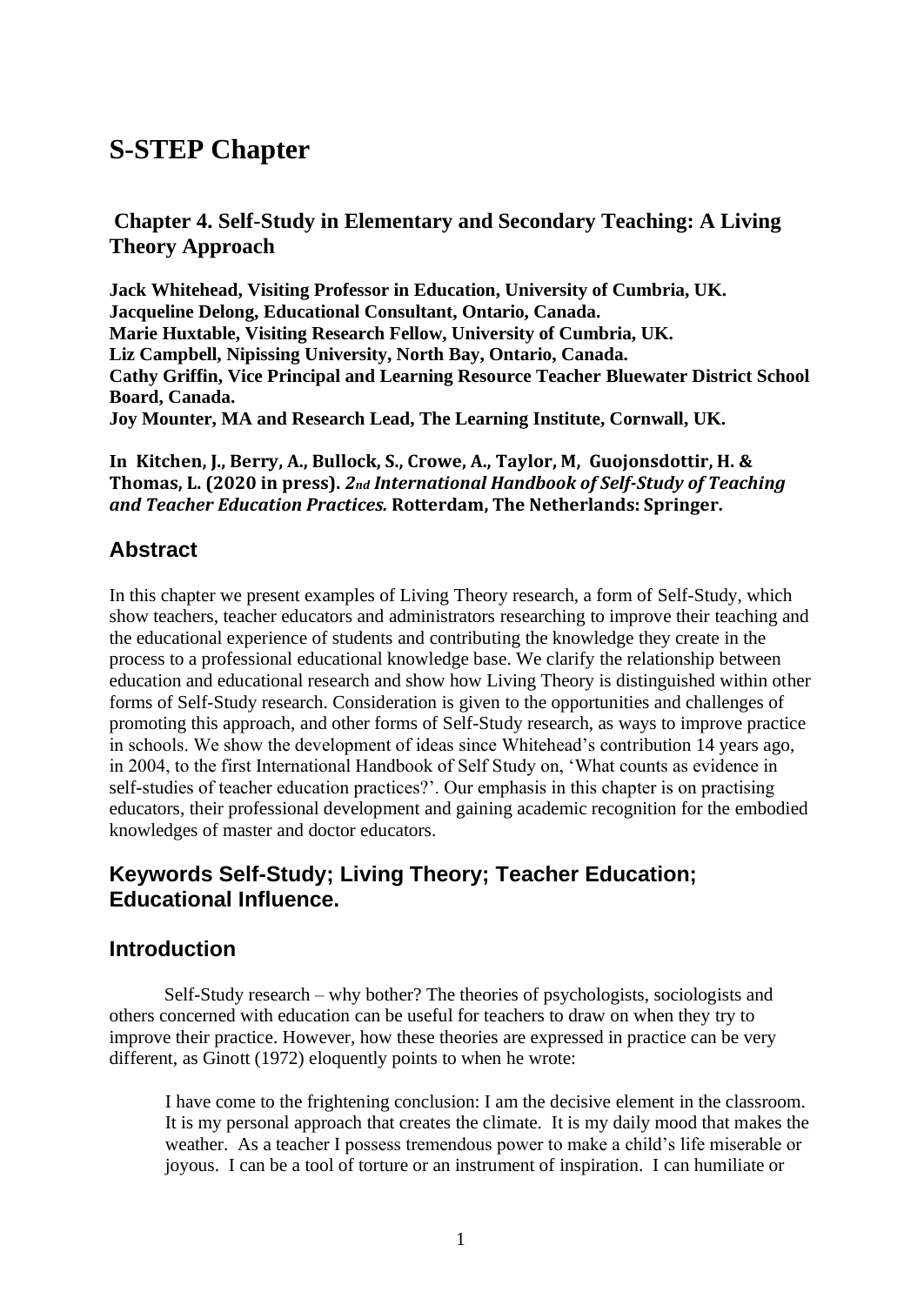# **S-STEP Chapter**

# **Chapter 4. Self-Study in Elementary and Secondary Teaching: A Living Theory Approach**

**Jack Whitehead, Visiting Professor in Education, University of Cumbria, UK. Jacqueline Delong, Educational Consultant, Ontario, Canada. Marie Huxtable, Visiting Research Fellow, University of Cumbria, UK. Liz Campbell, Nipissing University, North Bay, Ontario, Canada. Cathy Griffin, Vice Principal and Learning Resource Teacher Bluewater District School Board, Canada. Joy Mounter, MA and Research Lead, The Learning Institute, Cornwall, UK.**

**In Kitchen, J., Berry, A., Bullock, S., Crowe, A., Taylor, M, Guojonsdottir, H. & Thomas, L. (2020 in press).** *2nd International Handbook of Self-Study of Teaching and Teacher Education Practices.* **Rotterdam, The Netherlands: Springer.**

## **Abstract**

In this chapter we present examples of Living Theory research, a form of Self-Study, which show teachers, teacher educators and administrators researching to improve their teaching and the educational experience of students and contributing the knowledge they create in the process to a professional educational knowledge base. We clarify the relationship between education and educational research and show how Living Theory is distinguished within other forms of Self-Study research. Consideration is given to the opportunities and challenges of promoting this approach, and other forms of Self-Study research, as ways to improve practice in schools. We show the development of ideas since Whitehead's contribution 14 years ago, in 2004, to the first International Handbook of Self Study on, 'What counts as evidence in self-studies of teacher education practices?'. Our emphasis in this chapter is on practising educators, their professional development and gaining academic recognition for the embodied knowledges of master and doctor educators.

# **Keywords Self-Study; Living Theory; Teacher Education; Educational Influence.**

## **Introduction**

Self-Study research – why bother? The theories of psychologists, sociologists and others concerned with education can be useful for teachers to draw on when they try to improve their practice. However, how these theories are expressed in practice can be very different, as Ginott (1972) eloquently points to when he wrote:

I have come to the frightening conclusion: I am the decisive element in the classroom. It is my personal approach that creates the climate. It is my daily mood that makes the weather. As a teacher I possess tremendous power to make a child's life miserable or joyous. I can be a tool of torture or an instrument of inspiration. I can humiliate or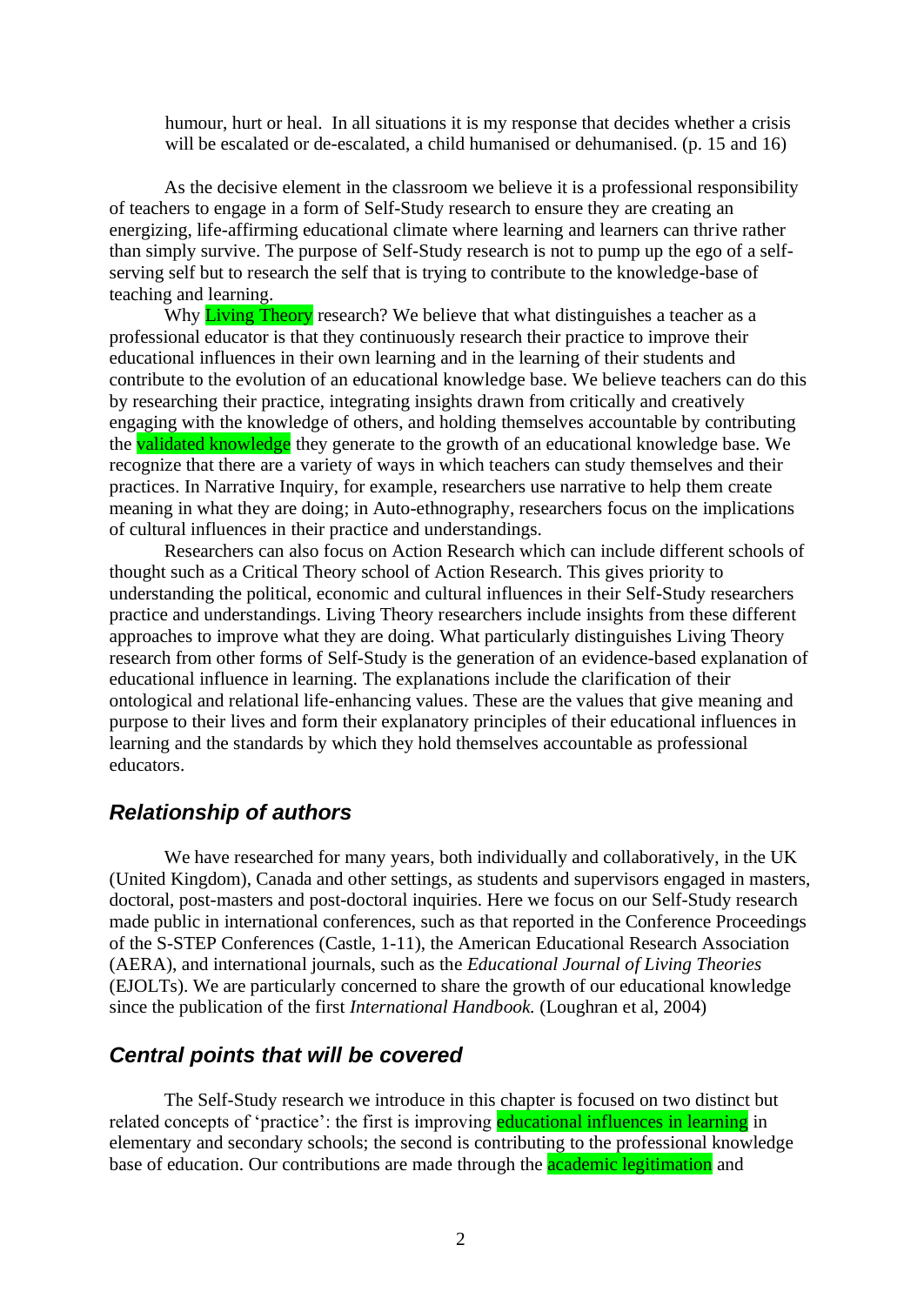humour, hurt or heal. In all situations it is my response that decides whether a crisis will be escalated or de-escalated, a child humanised or dehumanised. (p. 15 and 16)

As the decisive element in the classroom we believe it is a professional responsibility of teachers to engage in a form of Self-Study research to ensure they are creating an energizing, life-affirming educational climate where learning and learners can thrive rather than simply survive. The purpose of Self-Study research is not to pump up the ego of a selfserving self but to research the self that is trying to contribute to the knowledge-base of teaching and learning.

Why **Living Theory** research? We believe that what distinguishes a teacher as a professional educator is that they continuously research their practice to improve their educational influences in their own learning and in the learning of their students and contribute to the evolution of an educational knowledge base. We believe teachers can do this by researching their practice, integrating insights drawn from critically and creatively engaging with the knowledge of others, and holding themselves accountable by contributing the validated knowledge they generate to the growth of an educational knowledge base. We recognize that there are a variety of ways in which teachers can study themselves and their practices. In Narrative Inquiry, for example, researchers use narrative to help them create meaning in what they are doing; in Auto-ethnography, researchers focus on the implications of cultural influences in their practice and understandings.

Researchers can also focus on Action Research which can include different schools of thought such as a Critical Theory school of Action Research. This gives priority to understanding the political, economic and cultural influences in their Self-Study researchers practice and understandings. Living Theory researchers include insights from these different approaches to improve what they are doing. What particularly distinguishes Living Theory research from other forms of Self-Study is the generation of an evidence-based explanation of educational influence in learning. The explanations include the clarification of their ontological and relational life-enhancing values. These are the values that give meaning and purpose to their lives and form their explanatory principles of their educational influences in learning and the standards by which they hold themselves accountable as professional educators.

## *Relationship of authors*

We have researched for many years, both individually and collaboratively, in the UK (United Kingdom), Canada and other settings, as students and supervisors engaged in masters, doctoral, post-masters and post-doctoral inquiries. Here we focus on our Self-Study research made public in international conferences, such as that reported in the Conference Proceedings of the S-STEP Conferences (Castle, 1-11), the American Educational Research Association (AERA), and international journals, such as the *Educational Journal of Living Theories* (EJOLTs). We are particularly concerned to share the growth of our educational knowledge since the publication of the first *International Handbook.* (Loughran et al, 2004)

## *Central points that will be covered*

The Self-Study research we introduce in this chapter is focused on two distinct but related concepts of 'practice': the first is improving educational influences in learning in elementary and secondary schools; the second is contributing to the professional knowledge base of education. Our contributions are made through the **academic legitimation** and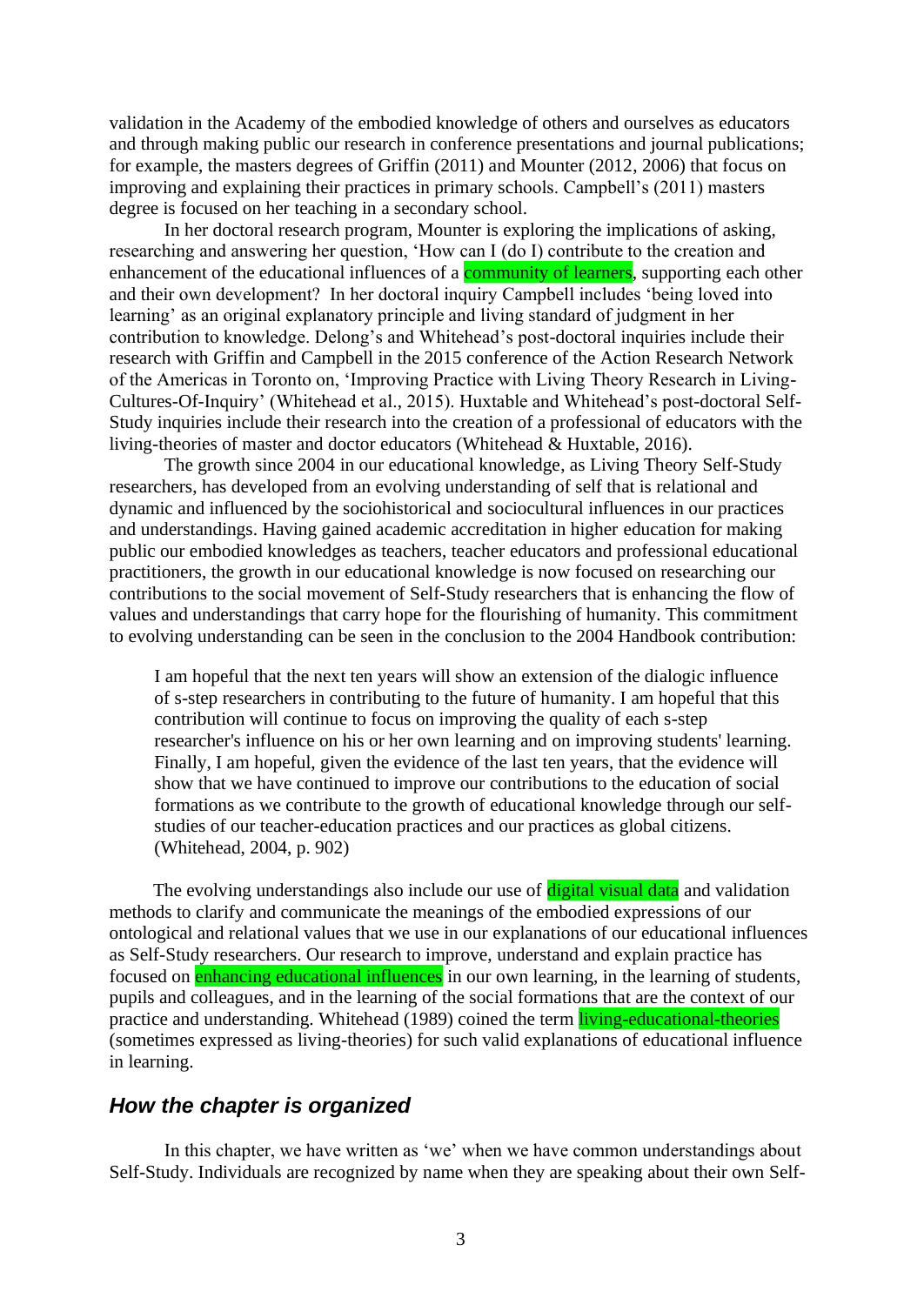validation in the Academy of the embodied knowledge of others and ourselves as educators and through making public our research in conference presentations and journal publications; for example, the masters degrees of Griffin (2011) and Mounter (2012, 2006) that focus on improving and explaining their practices in primary schools. Campbell's (2011) masters degree is focused on her teaching in a secondary school.

In her doctoral research program, Mounter is exploring the implications of asking, researching and answering her question, 'How can I (do I) contribute to the creation and enhancement of the educational influences of a **community of learners**, supporting each other and their own development? In her doctoral inquiry Campbell includes 'being loved into learning' as an original explanatory principle and living standard of judgment in her contribution to knowledge. Delong's and Whitehead's post-doctoral inquiries include their research with Griffin and Campbell in the 2015 conference of the Action Research Network of the Americas in Toronto on, 'Improving Practice with Living Theory Research in Living-Cultures-Of-Inquiry' (Whitehead et al., 2015). Huxtable and Whitehead's post-doctoral Self-Study inquiries include their research into the creation of a professional of educators with the living-theories of master and doctor educators (Whitehead & Huxtable, 2016).

The growth since 2004 in our educational knowledge, as Living Theory Self-Study researchers, has developed from an evolving understanding of self that is relational and dynamic and influenced by the sociohistorical and sociocultural influences in our practices and understandings. Having gained academic accreditation in higher education for making public our embodied knowledges as teachers, teacher educators and professional educational practitioners, the growth in our educational knowledge is now focused on researching our contributions to the social movement of Self-Study researchers that is enhancing the flow of values and understandings that carry hope for the flourishing of humanity. This commitment to evolving understanding can be seen in the conclusion to the 2004 Handbook contribution:

I am hopeful that the next ten years will show an extension of the dialogic influence of s-step researchers in contributing to the future of humanity. I am hopeful that this contribution will continue to focus on improving the quality of each s-step researcher's influence on his or her own learning and on improving students' learning. Finally, I am hopeful, given the evidence of the last ten years, that the evidence will show that we have continued to improve our contributions to the education of social formations as we contribute to the growth of educational knowledge through our selfstudies of our teacher-education practices and our practices as global citizens. (Whitehead, 2004, p. 902)

The evolving understandings also include our use of digital visual data and validation methods to clarify and communicate the meanings of the embodied expressions of our ontological and relational values that we use in our explanations of our educational influences as Self-Study researchers. Our research to improve, understand and explain practice has focused on **enhancing educational influences** in our own learning, in the learning of students, pupils and colleagues, and in the learning of the social formations that are the context of our practice and understanding. Whitehead (1989) coined the term living-educational-theories (sometimes expressed as living-theories) for such valid explanations of educational influence in learning.

## *How the chapter is organized*

In this chapter, we have written as 'we' when we have common understandings about Self-Study. Individuals are recognized by name when they are speaking about their own Self-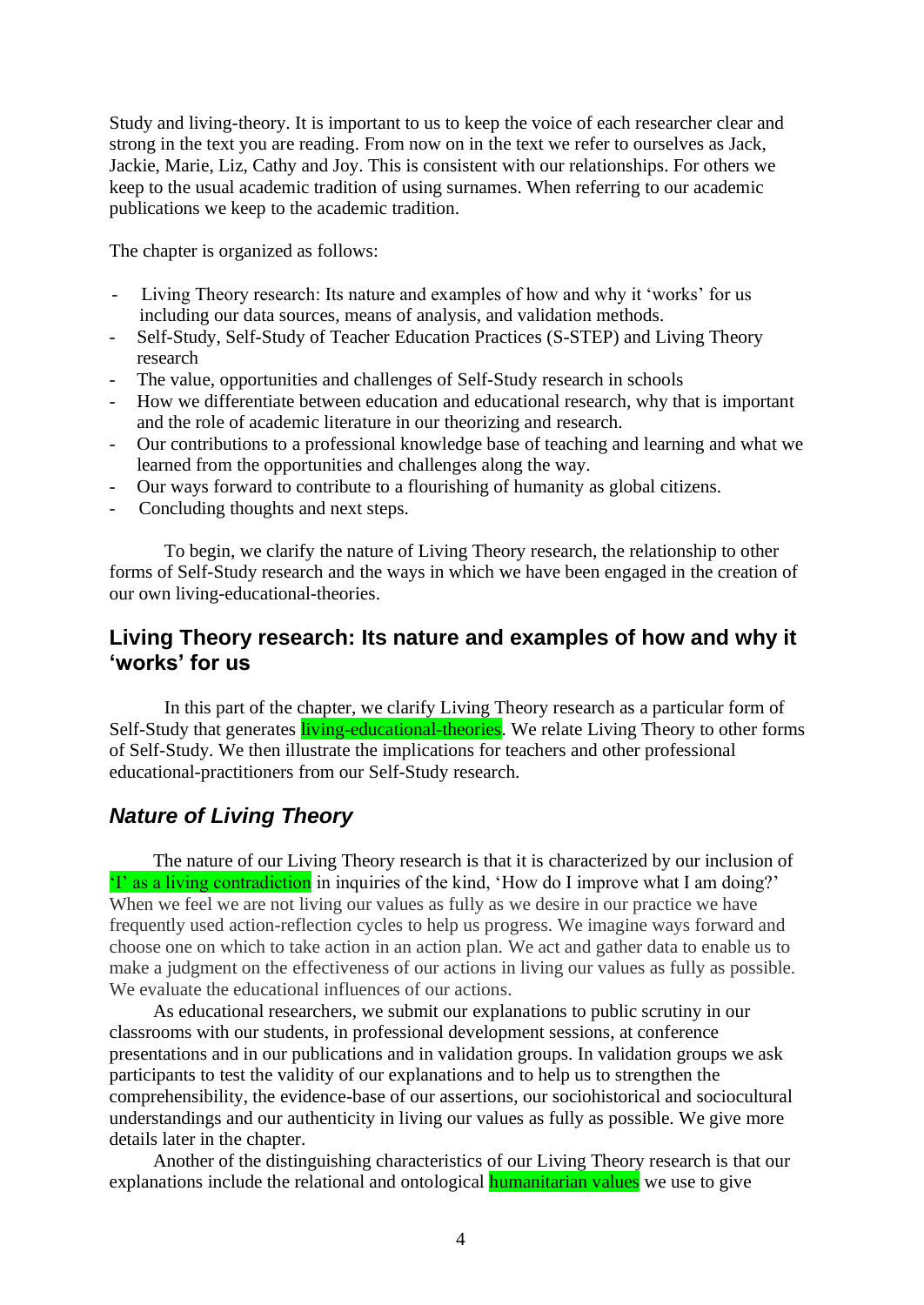Study and living-theory. It is important to us to keep the voice of each researcher clear and strong in the text you are reading. From now on in the text we refer to ourselves as Jack, Jackie, Marie, Liz, Cathy and Joy. This is consistent with our relationships. For others we keep to the usual academic tradition of using surnames. When referring to our academic publications we keep to the academic tradition.

The chapter is organized as follows:

- Living Theory research: Its nature and examples of how and why it 'works' for us including our data sources, means of analysis, and validation methods.
- Self-Study, Self-Study of Teacher Education Practices (S-STEP) and Living Theory research
- The value, opportunities and challenges of Self-Study research in schools
- How we differentiate between education and educational research, why that is important and the role of academic literature in our theorizing and research.
- Our contributions to a professional knowledge base of teaching and learning and what we learned from the opportunities and challenges along the way.
- Our ways forward to contribute to a flourishing of humanity as global citizens.
- Concluding thoughts and next steps.

To begin, we clarify the nature of Living Theory research, the relationship to other forms of Self-Study research and the ways in which we have been engaged in the creation of our own living-educational-theories.

# **Living Theory research: Its nature and examples of how and why it 'works' for us**

In this part of the chapter, we clarify Living Theory research as a particular form of Self-Study that generates living-educational-theories. We relate Living Theory to other forms of Self-Study. We then illustrate the implications for teachers and other professional educational-practitioners from our Self-Study research.

# *Nature of Living Theory*

The nature of our Living Theory research is that it is characterized by our inclusion of 'I' as a living contradiction in inquiries of the kind, 'How do I improve what I am doing?' When we feel we are not living our values as fully as we desire in our practice we have frequently used action-reflection cycles to help us progress. We imagine ways forward and choose one on which to take action in an action plan. We act and gather data to enable us to make a judgment on the effectiveness of our actions in living our values as fully as possible. We evaluate the educational influences of our actions.

As educational researchers, we submit our explanations to public scrutiny in our classrooms with our students, in professional development sessions, at conference presentations and in our publications and in validation groups. In validation groups we ask participants to test the validity of our explanations and to help us to strengthen the comprehensibility, the evidence-base of our assertions, our sociohistorical and sociocultural understandings and our authenticity in living our values as fully as possible. We give more details later in the chapter.

Another of the distinguishing characteristics of our Living Theory research is that our explanations include the relational and ontological **humanitarian values** we use to give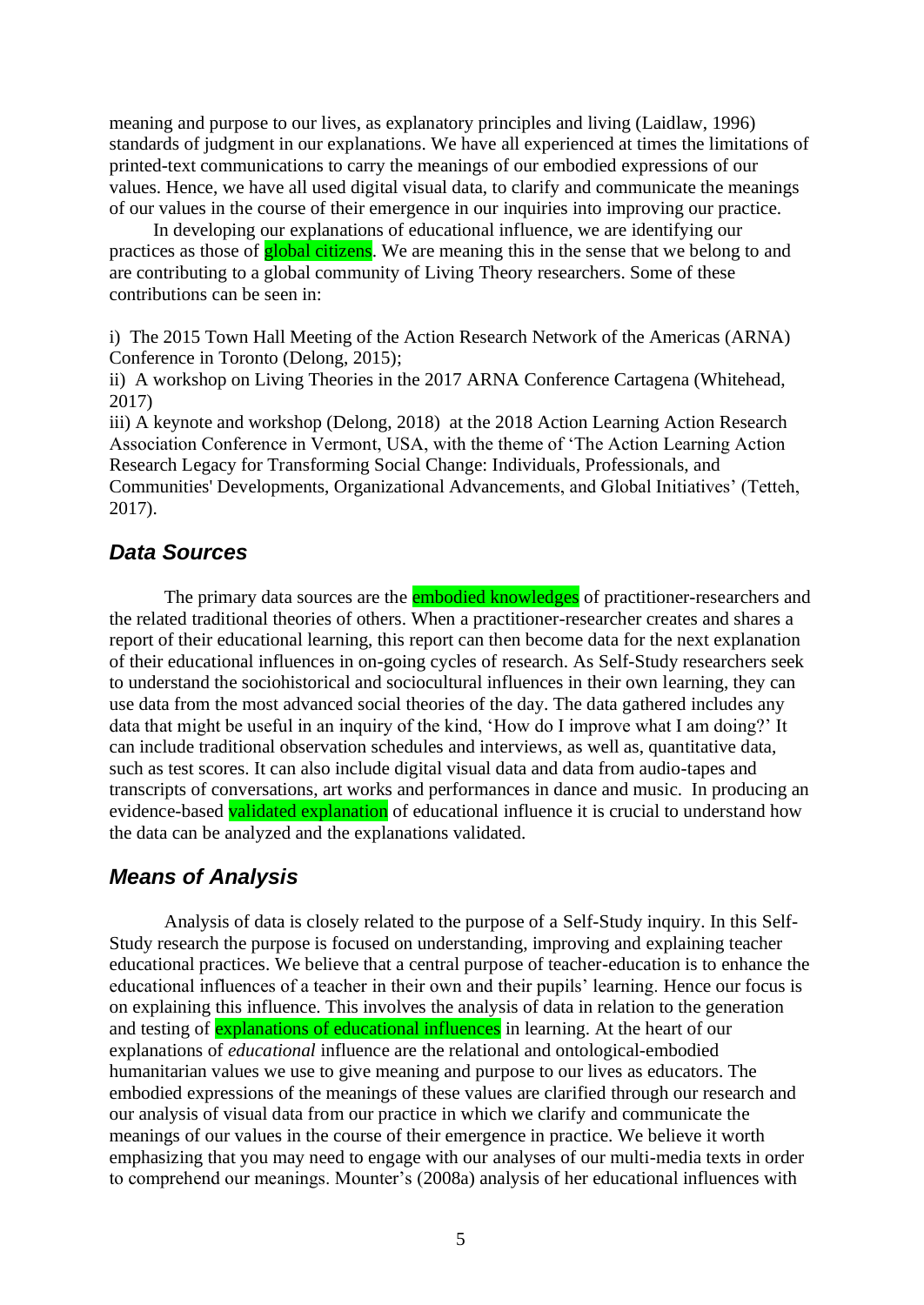meaning and purpose to our lives, as explanatory principles and living (Laidlaw, 1996) standards of judgment in our explanations. We have all experienced at times the limitations of printed-text communications to carry the meanings of our embodied expressions of our values. Hence, we have all used digital visual data, to clarify and communicate the meanings of our values in the course of their emergence in our inquiries into improving our practice.

In developing our explanations of educational influence, we are identifying our practices as those of global citizens. We are meaning this in the sense that we belong to and are contributing to a global community of Living Theory researchers. Some of these contributions can be seen in:

i) The 2015 Town Hall Meeting of the Action Research Network of the Americas (ARNA) Conference in Toronto (Delong, 2015);

ii) A workshop on Living Theories in the 2017 ARNA Conference Cartagena (Whitehead, 2017)

iii) A keynote and workshop (Delong, 2018) at the 2018 Action Learning Action Research Association Conference in Vermont, USA, with the theme of 'The Action Learning Action Research Legacy for Transforming Social Change: Individuals, Professionals, and Communities' Developments, Organizational Advancements, and Global Initiatives' (Tetteh, 2017).

## *Data Sources*

The primary data sources are the **embodied knowledges** of practitioner-researchers and the related traditional theories of others. When a practitioner-researcher creates and shares a report of their educational learning, this report can then become data for the next explanation of their educational influences in on-going cycles of research. As Self-Study researchers seek to understand the sociohistorical and sociocultural influences in their own learning, they can use data from the most advanced social theories of the day. The data gathered includes any data that might be useful in an inquiry of the kind, 'How do I improve what I am doing?' It can include traditional observation schedules and interviews, as well as, quantitative data, such as test scores. It can also include digital visual data and data from audio-tapes and transcripts of conversations, art works and performances in dance and music. In producing an evidence-based validated explanation of educational influence it is crucial to understand how the data can be analyzed and the explanations validated.

## *Means of Analysis*

Analysis of data is closely related to the purpose of a Self-Study inquiry. In this Self-Study research the purpose is focused on understanding, improving and explaining teacher educational practices. We believe that a central purpose of teacher-education is to enhance the educational influences of a teacher in their own and their pupils' learning. Hence our focus is on explaining this influence. This involves the analysis of data in relation to the generation and testing of explanations of educational influences in learning. At the heart of our explanations of *educational* influence are the relational and ontological-embodied humanitarian values we use to give meaning and purpose to our lives as educators. The embodied expressions of the meanings of these values are clarified through our research and our analysis of visual data from our practice in which we clarify and communicate the meanings of our values in the course of their emergence in practice. We believe it worth emphasizing that you may need to engage with our analyses of our multi-media texts in order to comprehend our meanings. Mounter's (2008a) analysis of her educational influences with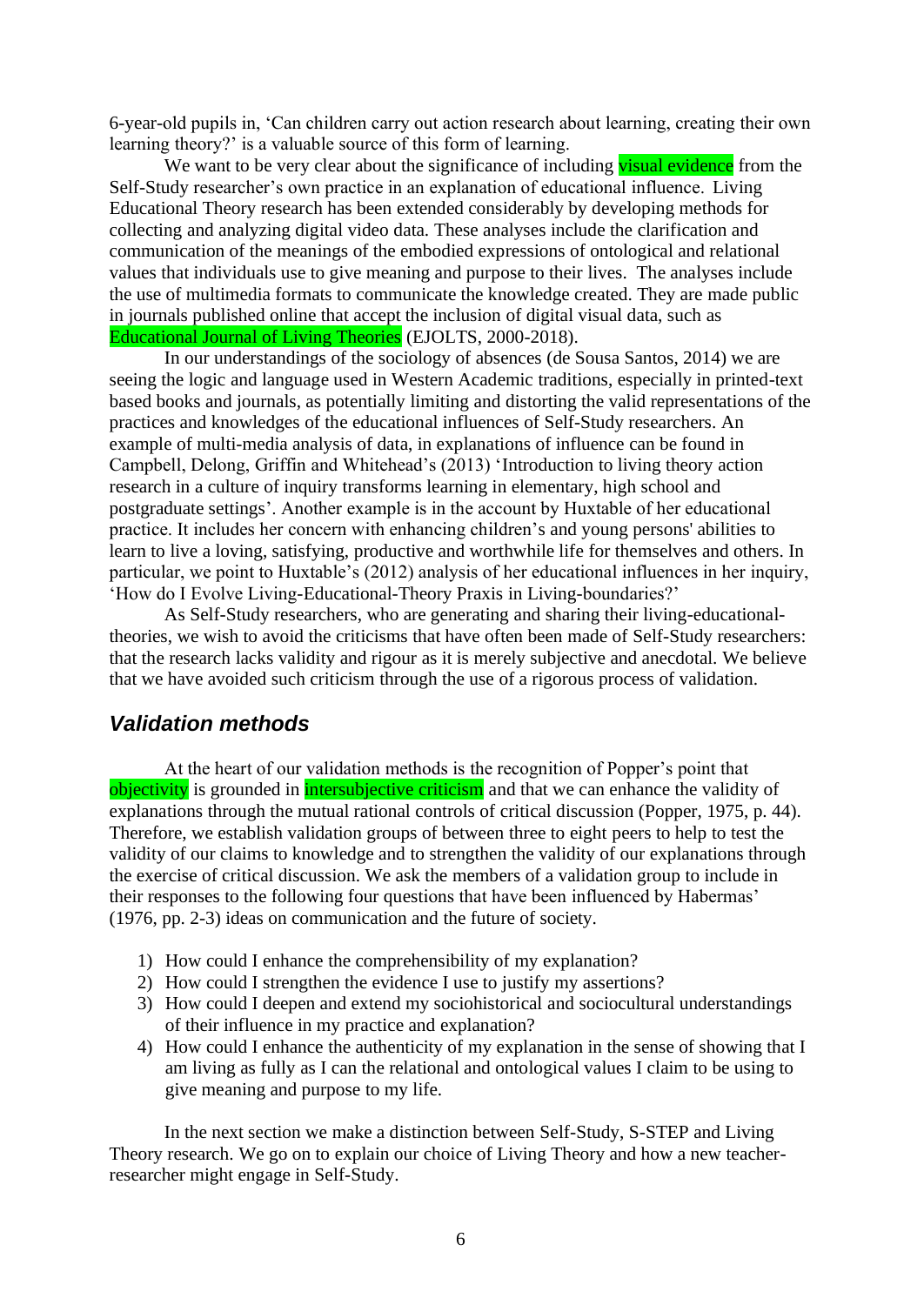6-year-old pupils in, 'Can children carry out action research about learning, creating their own learning theory?' is a valuable source of this form of learning.

We want to be very clear about the significance of including visual evidence from the Self-Study researcher's own practice in an explanation of educational influence. Living Educational Theory research has been extended considerably by developing methods for collecting and analyzing digital video data. These analyses include the clarification and communication of the meanings of the embodied expressions of ontological and relational values that individuals use to give meaning and purpose to their lives. The analyses include the use of multimedia formats to communicate the knowledge created. They are made public in journals published online that accept the inclusion of digital visual data, such as Educational Journal of Living Theories (EJOLTS, 2000-2018).

In our understandings of the sociology of absences (de Sousa Santos, 2014) we are seeing the logic and language used in Western Academic traditions, especially in printed-text based books and journals, as potentially limiting and distorting the valid representations of the practices and knowledges of the educational influences of Self-Study researchers. An example of multi-media analysis of data, in explanations of influence can be found in Campbell, Delong, Griffin and Whitehead's (2013) 'Introduction [to living theory action](http://ejolts.net/node/211)  [research in a culture of inquiry transforms learning in elementary, high school and](http://ejolts.net/node/211)  [postgraduate settings'](http://ejolts.net/node/211). Another example is in the account by Huxtable of her educational practice. It includes her concern with enhancing children's and young persons' abilities to learn to live a loving, satisfying, productive and worthwhile life for themselves and others. In particular, we point to Huxtable's (2012) analysis of her educational influences in her inquiry, 'How do I Evolve Living-Educational-Theory Praxis in Living-boundaries?'

As Self-Study researchers, who are generating and sharing their living-educationaltheories, we wish to avoid the criticisms that have often been made of Self-Study researchers: that the research lacks validity and rigour as it is merely subjective and anecdotal. We believe that we have avoided such criticism through the use of a rigorous process of validation.

## *Validation methods*

At the heart of our validation methods is the recognition of Popper's point that objectivity is grounded in intersubjective criticism and that we can enhance the validity of explanations through the mutual rational controls of critical discussion (Popper, 1975, p. 44). Therefore, we establish validation groups of between three to eight peers to help to test the validity of our claims to knowledge and to strengthen the validity of our explanations through the exercise of critical discussion. We ask the members of a validation group to include in their responses to the following four questions that have been influenced by Habermas' (1976, pp. 2-3) ideas on communication and the future of society.

- 1) How could I enhance the comprehensibility of my explanation?
- 2) How could I strengthen the evidence I use to justify my assertions?
- 3) How could I deepen and extend my sociohistorical and sociocultural understandings of their influence in my practice and explanation?
- 4) How could I enhance the authenticity of my explanation in the sense of showing that I am living as fully as I can the relational and ontological values I claim to be using to give meaning and purpose to my life.

In the next section we make a distinction between Self-Study, S-STEP and Living Theory research. We go on to explain our choice of Living Theory and how a new teacherresearcher might engage in Self-Study.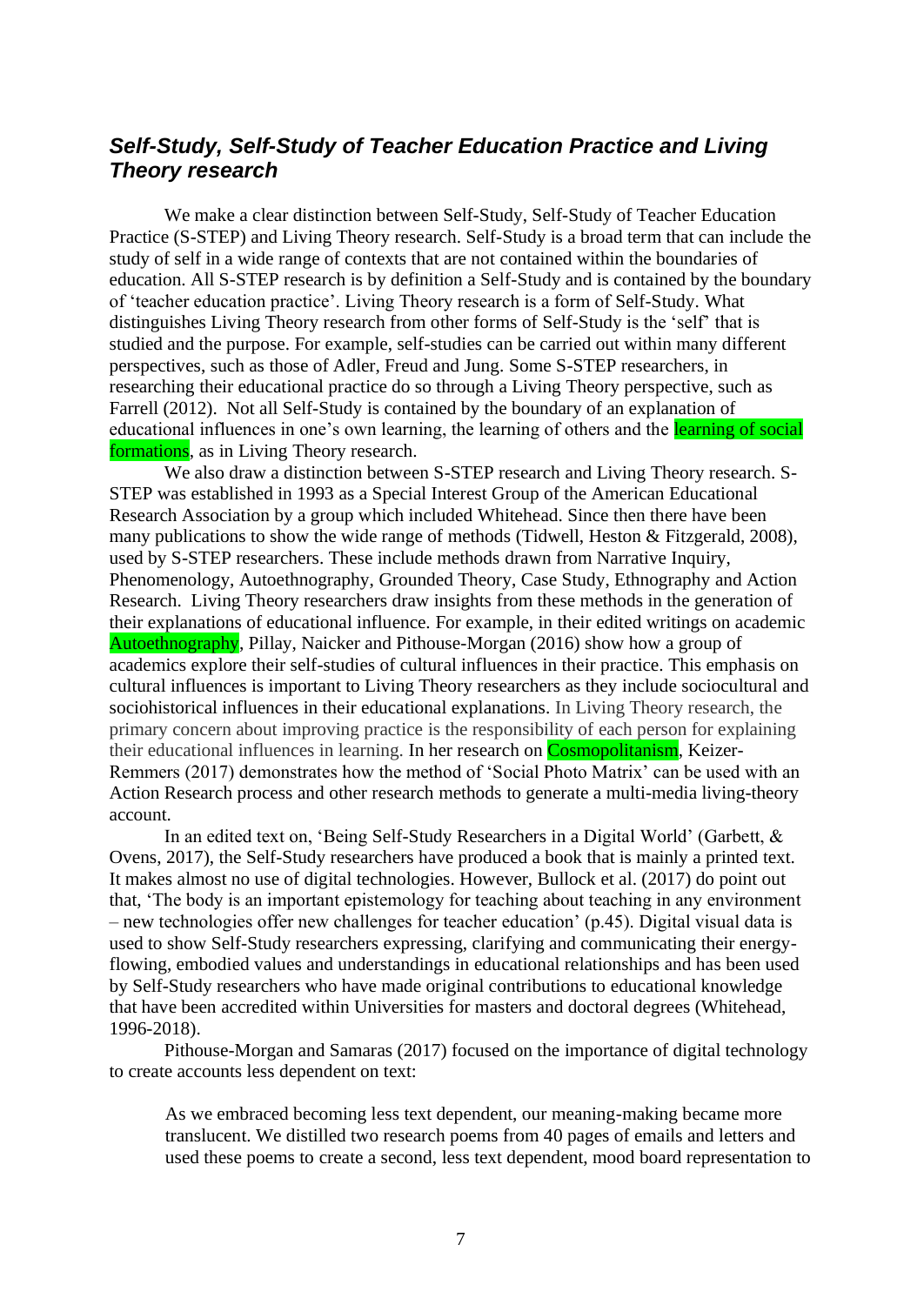# *Self-Study, Self-Study of Teacher Education Practice and Living Theory research*

We make a clear distinction between Self-Study, Self-Study of Teacher Education Practice (S-STEP) and Living Theory research. Self-Study is a broad term that can include the study of self in a wide range of contexts that are not contained within the boundaries of education. All S-STEP research is by definition a Self-Study and is contained by the boundary of 'teacher education practice'. Living Theory research is a form of Self-Study. What distinguishes Living Theory research from other forms of Self-Study is the 'self' that is studied and the purpose. For example, self-studies can be carried out within many different perspectives, such as those of Adler, Freud and Jung. Some S-STEP researchers, in researching their educational practice do so through a Living Theory perspective, such as Farrell (2012). Not all Self-Study is contained by the boundary of an explanation of educational influences in one's own learning, the learning of others and the learning of social formations, as in Living Theory research.

We also draw a distinction between S-STEP research and Living Theory research. S-STEP was established in 1993 as a Special Interest Group of the American Educational Research Association by a group which included Whitehead. Since then there have been many publications to show the wide range of methods (Tidwell, Heston & Fitzgerald, 2008), used by S-STEP researchers. These include methods drawn from Narrative Inquiry, Phenomenology, Autoethnography, Grounded Theory, Case Study, Ethnography and Action Research. Living Theory researchers draw insights from these methods in the generation of their explanations of educational influence. For example, in their edited writings on academic Autoethnography, Pillay, Naicker and Pithouse-Morgan (2016) show how a group of academics explore their self-studies of cultural influences in their practice. This emphasis on cultural influences is important to Living Theory researchers as they include sociocultural and sociohistorical influences in their educational explanations. In Living Theory research, the primary concern about improving practice is the responsibility of each person for explaining their educational influences in learning. In her research on Cosmopolitanism, Keizer-Remmers (2017) demonstrates how the method of 'Social Photo Matrix' can be used with an Action Research process and other research methods to generate a multi-media living-theory account.

In an edited text on, 'Being Self-Study Researchers in a Digital World' (Garbett, & Ovens, 2017), the Self-Study researchers have produced a book that is mainly a printed text. It makes almost no use of digital technologies. However, Bullock et al. (2017) do point out that, 'The body is an important epistemology for teaching about teaching in any environment – new technologies offer new challenges for teacher education' (p.45). Digital visual data is used to show Self-Study researchers expressing, clarifying and communicating their energyflowing, embodied values and understandings in educational relationships and has been used by Self-Study researchers who have made original contributions to educational knowledge that have been accredited within Universities for masters and doctoral degrees (Whitehead, 1996-2018).

Pithouse-Morgan and Samaras (2017) focused on the importance of digital technology to create accounts less dependent on text:

As we embraced becoming less text dependent, our meaning-making became more translucent. We distilled two research poems from 40 pages of emails and letters and used these poems to create a second, less text dependent, mood board representation to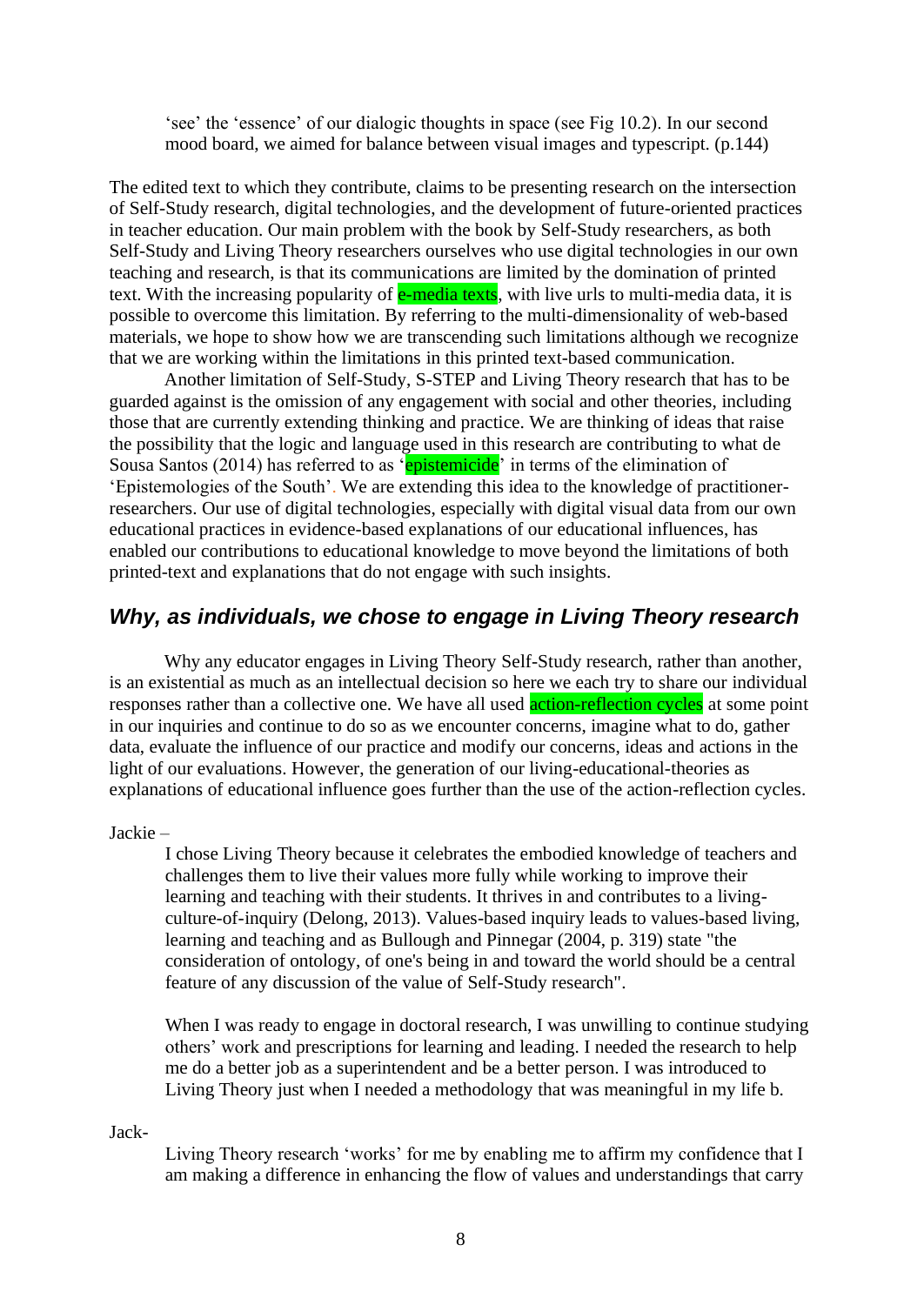'see' the 'essence' of our dialogic thoughts in space (see Fig 10.2). In our second mood board, we aimed for balance between visual images and typescript. (p.144)

The edited text to which they contribute, claims to be presenting research on the intersection of Self-Study research, digital technologies, and the development of future-oriented practices in teacher education. Our main problem with the book by Self-Study researchers, as both Self-Study and Living Theory researchers ourselves who use digital technologies in our own teaching and research, is that its communications are limited by the domination of printed text. With the increasing popularity of **e-media texts**, with live urls to multi-media data, it is possible to overcome this limitation. By referring to the multi-dimensionality of web-based materials, we hope to show how we are transcending such limitations although we recognize that we are working within the limitations in this printed text-based communication.

Another limitation of Self-Study, S-STEP and Living Theory research that has to be guarded against is the omission of any engagement with social and other theories, including those that are currently extending thinking and practice. We are thinking of ideas that raise the possibility that the logic and language used in this research are contributing to what de Sousa Santos (2014) has referred to as '*epistemicide*' in terms of the elimination of 'Epistemologies of the South'. We are extending this idea to the knowledge of practitionerresearchers. Our use of digital technologies, especially with digital visual data from our own educational practices in evidence-based explanations of our educational influences, has enabled our contributions to educational knowledge to move beyond the limitations of both printed-text and explanations that do not engage with such insights.

## *Why, as individuals, we chose to engage in Living Theory research*

Why any educator engages in Living Theory Self-Study research, rather than another, is an existential as much as an intellectual decision so here we each try to share our individual responses rather than a collective one. We have all used **action-reflection cycles** at some point in our inquiries and continue to do so as we encounter concerns, imagine what to do, gather data, evaluate the influence of our practice and modify our concerns, ideas and actions in the light of our evaluations. However, the generation of our living-educational-theories as explanations of educational influence goes further than the use of the action-reflection cycles.

Jackie –

I chose Living Theory because it celebrates the embodied knowledge of teachers and challenges them to live their values more fully while working to improve their learning and teaching with their students. It thrives in and contributes to a livingculture-of-inquiry (Delong, 2013). Values-based inquiry leads to values-based living, learning and teaching and as Bullough and Pinnegar (2004, p. 319) state "the consideration of ontology, of one's being in and toward the world should be a central feature of any discussion of the value of Self-Study research".

When I was ready to engage in doctoral research, I was unwilling to continue studying others' work and prescriptions for learning and leading. I needed the research to help me do a better job as a superintendent and be a better person. I was introduced to Living Theory just when I needed a methodology that was meaningful in my life b.

Jack-

Living Theory research 'works' for me by enabling me to affirm my confidence that I am making a difference in enhancing the flow of values and understandings that carry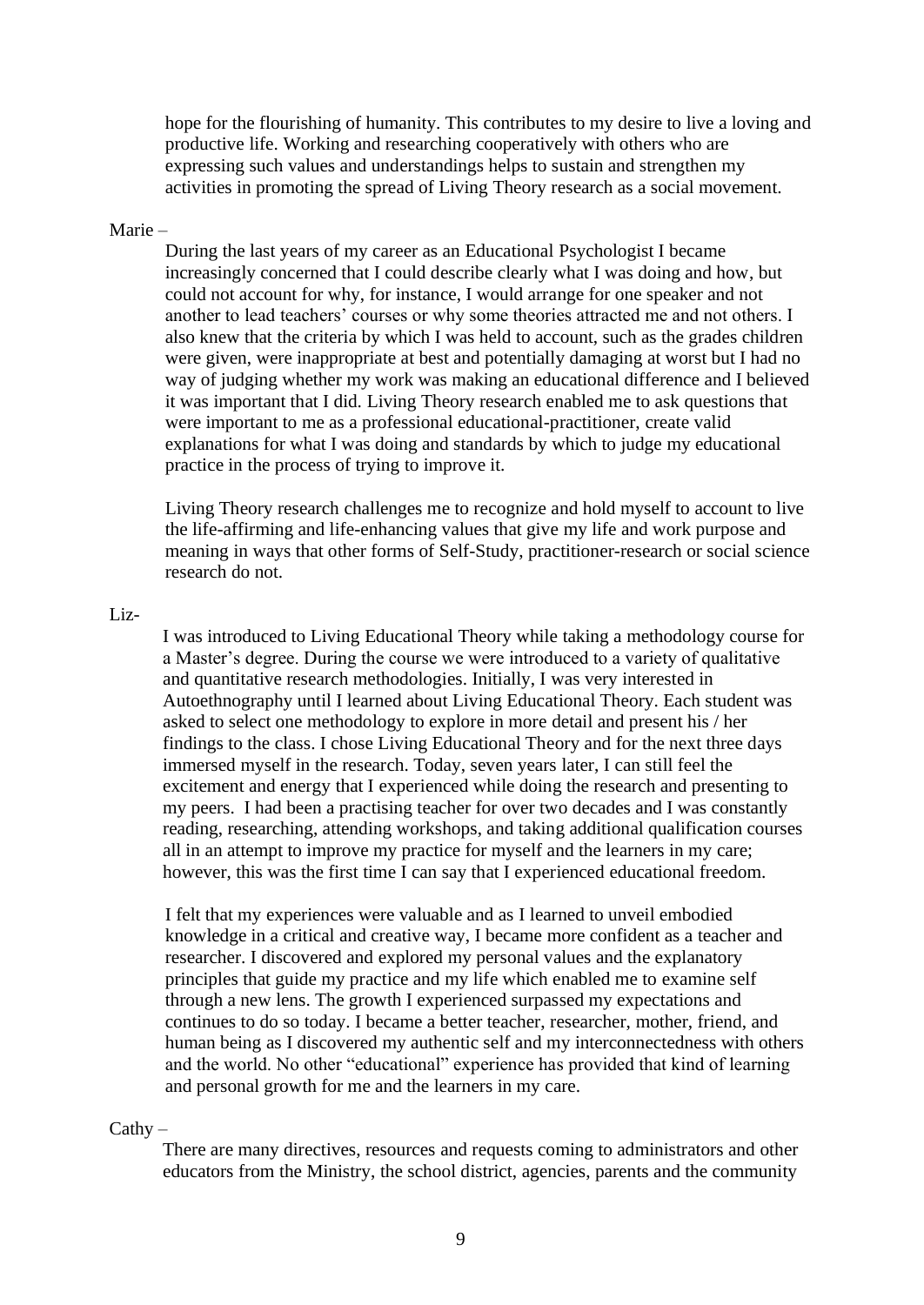hope for the flourishing of humanity. This contributes to my desire to live a loving and productive life. Working and researching cooperatively with others who are expressing such values and understandings helps to sustain and strengthen my activities in promoting the spread of Living Theory research as a social movement.

#### Marie –

During the last years of my career as an Educational Psychologist I became increasingly concerned that I could describe clearly what I was doing and how, but could not account for why, for instance, I would arrange for one speaker and not another to lead teachers' courses or why some theories attracted me and not others. I also knew that the criteria by which I was held to account, such as the grades children were given, were inappropriate at best and potentially damaging at worst but I had no way of judging whether my work was making an educational difference and I believed it was important that I did. Living Theory research enabled me to ask questions that were important to me as a professional educational-practitioner, create valid explanations for what I was doing and standards by which to judge my educational practice in the process of trying to improve it.

Living Theory research challenges me to recognize and hold myself to account to live the life-affirming and life-enhancing values that give my life and work purpose and meaning in ways that other forms of Self-Study, practitioner-research or social science research do not.

#### Liz-

I was introduced to Living Educational Theory while taking a methodology course for a Master's degree. During the course we were introduced to a variety of qualitative and quantitative research methodologies. Initially, I was very interested in Autoethnography until I learned about Living Educational Theory. Each student was asked to select one methodology to explore in more detail and present his / her findings to the class. I chose Living Educational Theory and for the next three days immersed myself in the research. Today, seven years later, I can still feel the excitement and energy that I experienced while doing the research and presenting to my peers. I had been a practising teacher for over two decades and I was constantly reading, researching, attending workshops, and taking additional qualification courses all in an attempt to improve my practice for myself and the learners in my care; however, this was the first time I can say that I experienced educational freedom.

I felt that my experiences were valuable and as I learned to unveil embodied knowledge in a critical and creative way, I became more confident as a teacher and researcher. I discovered and explored my personal values and the explanatory principles that guide my practice and my life which enabled me to examine self through a new lens. The growth I experienced surpassed my expectations and continues to do so today. I became a better teacher, researcher, mother, friend, and human being as I discovered my authentic self and my interconnectedness with others and the world. No other "educational" experience has provided that kind of learning and personal growth for me and the learners in my care.

#### $Cathy -$

There are many directives, resources and requests coming to administrators and other educators from the Ministry, the school district, agencies, parents and the community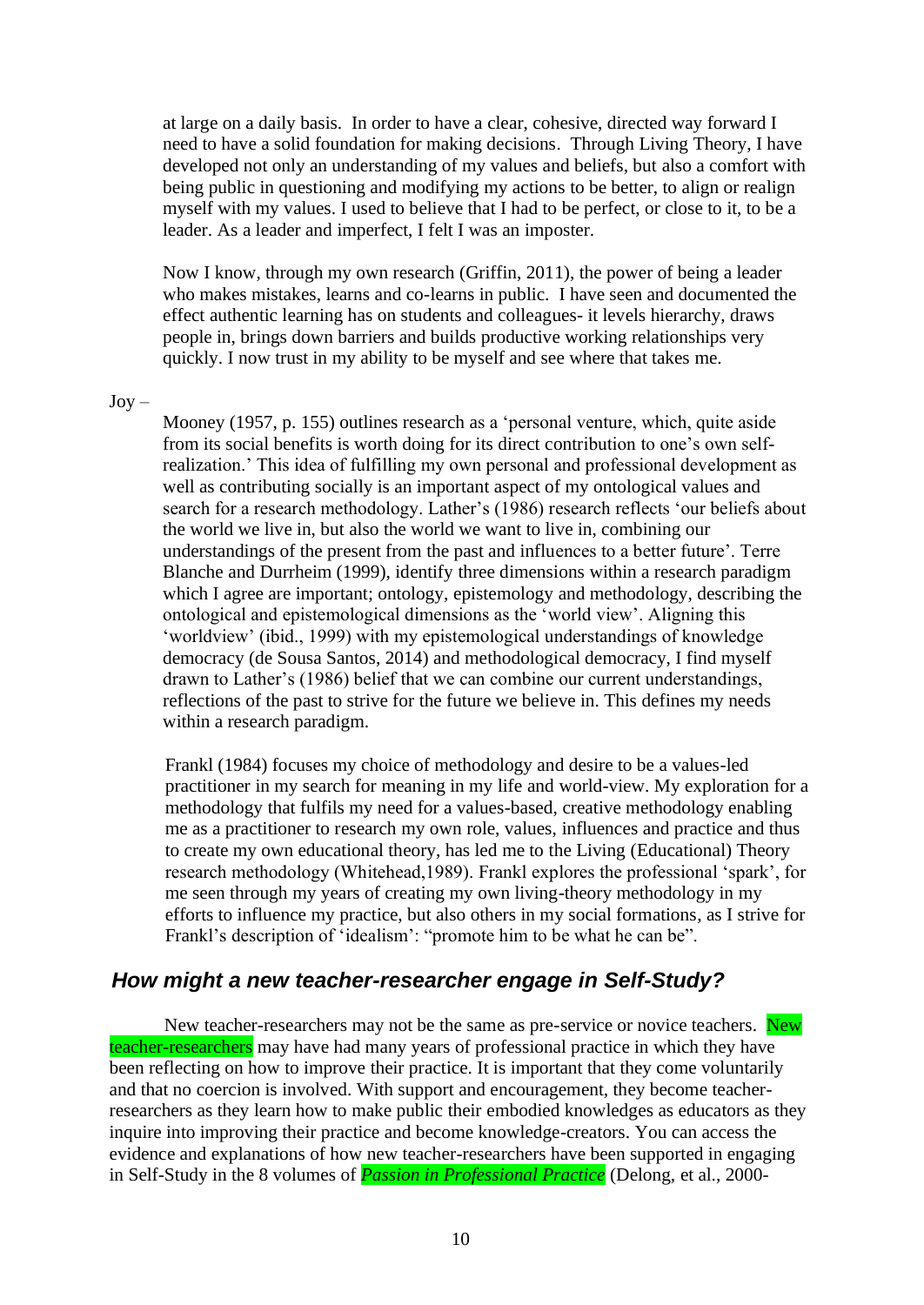at large on a daily basis. In order to have a clear, cohesive, directed way forward I need to have a solid foundation for making decisions. Through Living Theory, I have developed not only an understanding of my values and beliefs, but also a comfort with being public in questioning and modifying my actions to be better, to align or realign myself with my values. I used to believe that I had to be perfect, or close to it, to be a leader. As a leader and imperfect, I felt I was an imposter.

Now I know, through my own research (Griffin, 2011), the power of being a leader who makes mistakes, learns and co-learns in public. I have seen and documented the effect authentic learning has on students and colleagues- it levels hierarchy, draws people in, brings down barriers and builds productive working relationships very quickly. I now trust in my ability to be myself and see where that takes me.

 $Joy -$ 

Mooney (1957, p. 155) outlines research as a 'personal venture, which, quite aside from its social benefits is worth doing for its direct contribution to one's own selfrealization.' This idea of fulfilling my own personal and professional development as well as contributing socially is an important aspect of my ontological values and search for a research methodology. Lather's (1986) research reflects 'our beliefs about the world we live in, but also the world we want to live in, combining our understandings of the present from the past and influences to a better future'. Terre Blanche and Durrheim (1999), identify three dimensions within a research paradigm which I agree are important; ontology, epistemology and methodology, describing the ontological and epistemological dimensions as the 'world view'. Aligning this 'worldview' (ibid., 1999) with my epistemological understandings of knowledge democracy (de Sousa Santos, 2014) and methodological democracy, I find myself drawn to Lather's (1986) belief that we can combine our current understandings, reflections of the past to strive for the future we believe in. This defines my needs within a research paradigm.

Frankl (1984) focuses my choice of methodology and desire to be a values-led practitioner in my search for meaning in my life and world-view. My exploration for a methodology that fulfils my need for a values-based, creative methodology enabling me as a practitioner to research my own role, values, influences and practice and thus to create my own educational theory, has led me to the Living (Educational) Theory research methodology (Whitehead,1989). Frankl explores the professional 'spark', for me seen through my years of creating my own living-theory methodology in my efforts to influence my practice, but also others in my social formations, as I strive for Frankl's description of 'idealism': "promote him to be what he can be".

## *How might a new teacher-researcher engage in Self-Study?*

New teacher-researchers may not be the same as pre-service or novice teachers. New teacher-researchers may have had many years of professional practice in which they have been reflecting on how to improve their practice. It is important that they come voluntarily and that no coercion is involved. With support and encouragement, they become teacherresearchers as they learn how to make public their embodied knowledges as educators as they inquire into improving their practice and become knowledge-creators. You can access the evidence and explanations of how new teacher-researchers have been supported in engaging in Self-Study in the 8 volumes of *Passion in Professional Practice* (Delong, et al., 2000-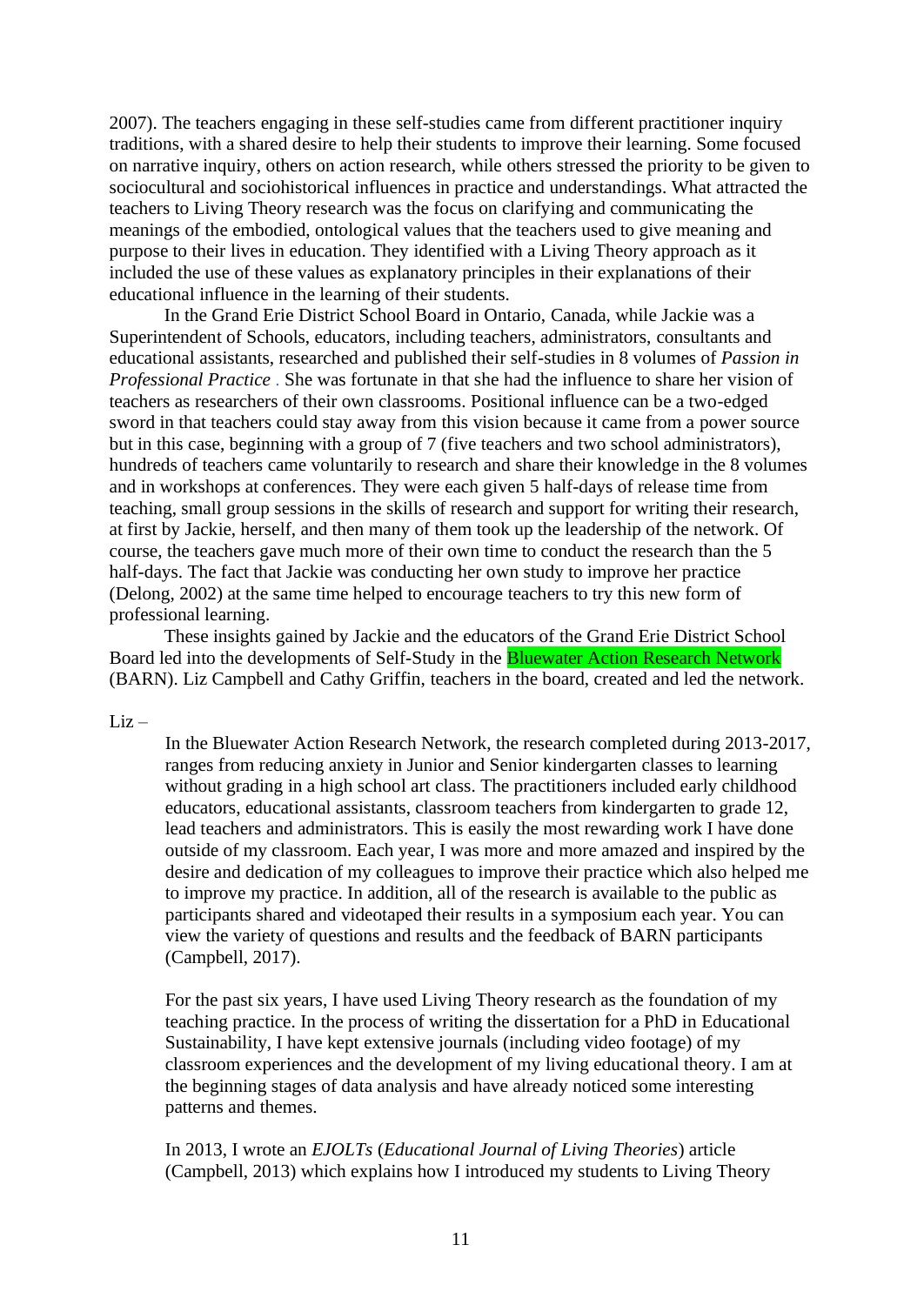2007). The teachers engaging in these self-studies came from different practitioner inquiry traditions, with a shared desire to help their students to improve their learning. Some focused on narrative inquiry, others on action research, while others stressed the priority to be given to sociocultural and sociohistorical influences in practice and understandings. What attracted the teachers to Living Theory research was the focus on clarifying and communicating the meanings of the embodied, ontological values that the teachers used to give meaning and purpose to their lives in education. They identified with a Living Theory approach as it included the use of these values as explanatory principles in their explanations of their educational influence in the learning of their students.

In the Grand Erie District School Board in Ontario, Canada, while Jackie was a Superintendent of Schools, educators, including teachers, administrators, consultants and educational assistants, researched and published their self-studies in 8 volumes of *Passion in Professional Practice* . She was fortunate in that she had the influence to share her vision of teachers as researchers of their own classrooms. Positional influence can be a two-edged sword in that teachers could stay away from this vision because it came from a power source but in this case, beginning with a group of 7 (five teachers and two school administrators), hundreds of teachers came voluntarily to research and share their knowledge in the 8 volumes and in workshops at conferences. They were each given 5 half-days of release time from teaching, small group sessions in the skills of research and support for writing their research, at first by Jackie, herself, and then many of them took up the leadership of the network. Of course, the teachers gave much more of their own time to conduct the research than the 5 half-days. The fact that Jackie was conducting her own study to improve her practice (Delong, 2002) at the same time helped to encourage teachers to try this new form of professional learning.

These insights gained by Jackie and the educators of the Grand Erie District School Board led into the developments of Self-Study in the Bluewater Action Research Network (BARN). Liz Campbell and Cathy Griffin, teachers in the board, created and led the network.

 $Liz -$ 

In the Bluewater Action Research Network, the research completed during 2013-2017, ranges from reducing anxiety in Junior and Senior kindergarten classes to learning without grading in a high school art class. The practitioners included early childhood educators, educational assistants, classroom teachers from kindergarten to grade 12, lead teachers and administrators. This is easily the most rewarding work I have done outside of my classroom. Each year, I was more and more amazed and inspired by the desire and dedication of my colleagues to improve their practice which also helped me to improve my practice. In addition, all of the research is available to the public as participants shared and videotaped their results in a symposium each year. You can view the variety of questions and results and the feedback of BARN participants (Campbell, 2017).

For the past six years, I have used Living Theory research as the foundation of my teaching practice. In the process of writing the dissertation for a PhD in Educational Sustainability, I have kept extensive journals (including video footage) of my classroom experiences and the development of my living educational theory. I am at the beginning stages of data analysis and have already noticed some interesting patterns and themes.

In 2013, I wrote an *EJOLTs* (*Educational Journal of Living Theories*) article (Campbell, 2013) which explains how I introduced my students to Living Theory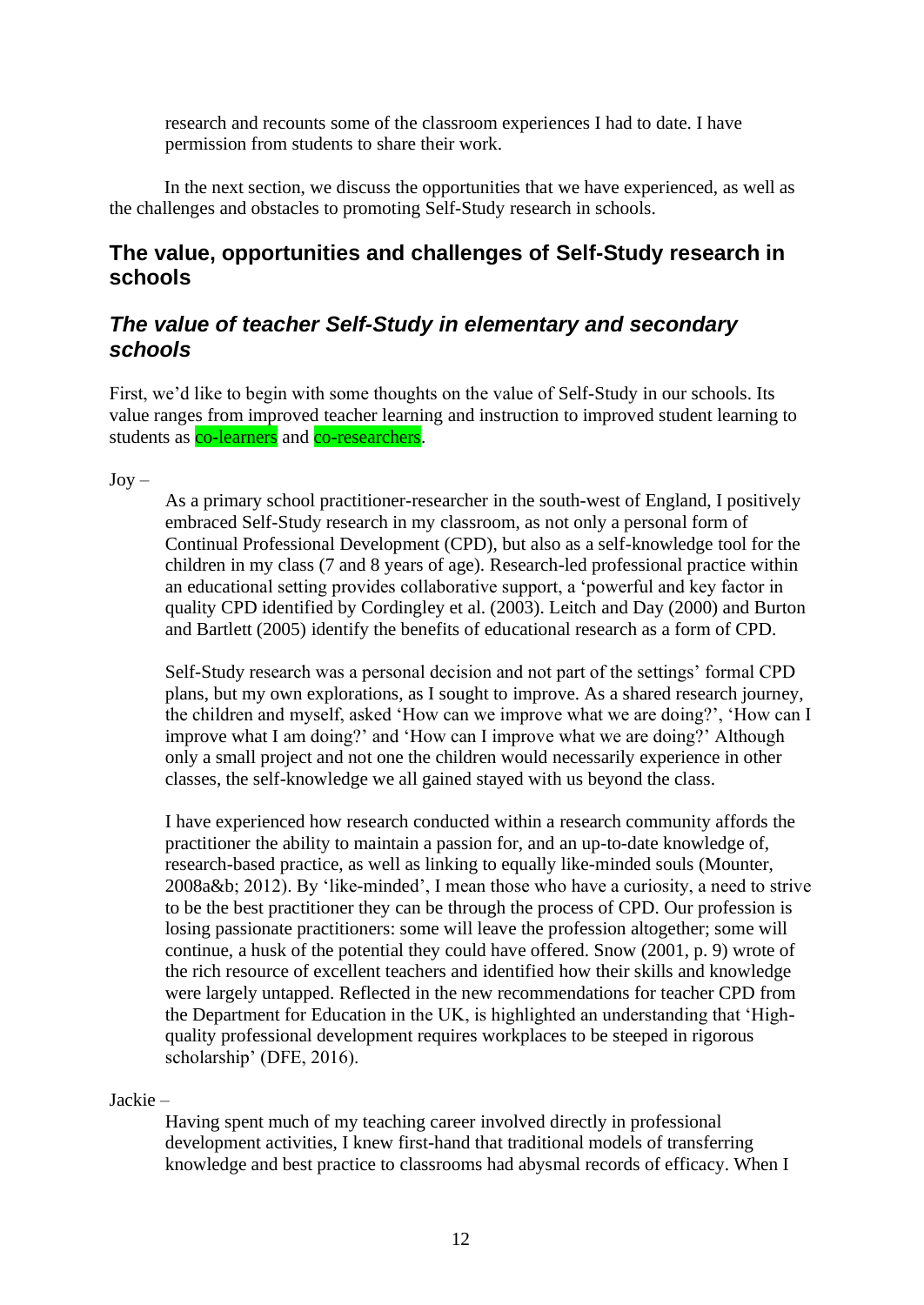research and recounts some of the classroom experiences I had to date. I have permission from students to share their work.

In the next section, we discuss the opportunities that we have experienced, as well as the challenges and obstacles to promoting Self-Study research in schools.

# **The value, opportunities and challenges of Self-Study research in schools**

# *The value of teacher Self-Study in elementary and secondary schools*

First, we'd like to begin with some thoughts on the value of Self-Study in our schools. Its value ranges from improved teacher learning and instruction to improved student learning to students as **co-learners** and **co-researchers**.

## $Joy -$

As a primary school practitioner-researcher in the south-west of England, I positively embraced Self-Study research in my classroom, as not only a personal form of Continual Professional Development (CPD), but also as a self-knowledge tool for the children in my class (7 and 8 years of age). Research-led professional practice within an educational setting provides collaborative support, a 'powerful and key factor in quality CPD identified by Cordingley et al. (2003). Leitch and Day (2000) and Burton and Bartlett (2005) identify the benefits of educational research as a form of CPD.

Self-Study research was a personal decision and not part of the settings' formal CPD plans, but my own explorations, as I sought to improve. As a shared research journey, the children and myself, asked 'How can we improve what we are doing?', 'How can I improve what I am doing?' and 'How can I improve what we are doing?' Although only a small project and not one the children would necessarily experience in other classes, the self-knowledge we all gained stayed with us beyond the class.

I have experienced how research conducted within a research community affords the practitioner the ability to maintain a passion for, and an up-to-date knowledge of, research-based practice, as well as linking to equally like-minded souls (Mounter, 2008a&b; 2012). By 'like-minded', I mean those who have a curiosity, a need to strive to be the best practitioner they can be through the process of CPD. Our profession is losing passionate practitioners: some will leave the profession altogether; some will continue, a husk of the potential they could have offered. Snow (2001, p. 9) wrote of the rich resource of excellent teachers and identified how their skills and knowledge were largely untapped. Reflected in the new recommendations for teacher CPD from the Department for Education in the UK, is highlighted an understanding that 'Highquality professional development requires workplaces to be steeped in rigorous scholarship' (DFE, 2016).

### Jackie –

Having spent much of my teaching career involved directly in professional development activities, I knew first-hand that traditional models of transferring knowledge and best practice to classrooms had abysmal records of efficacy. When I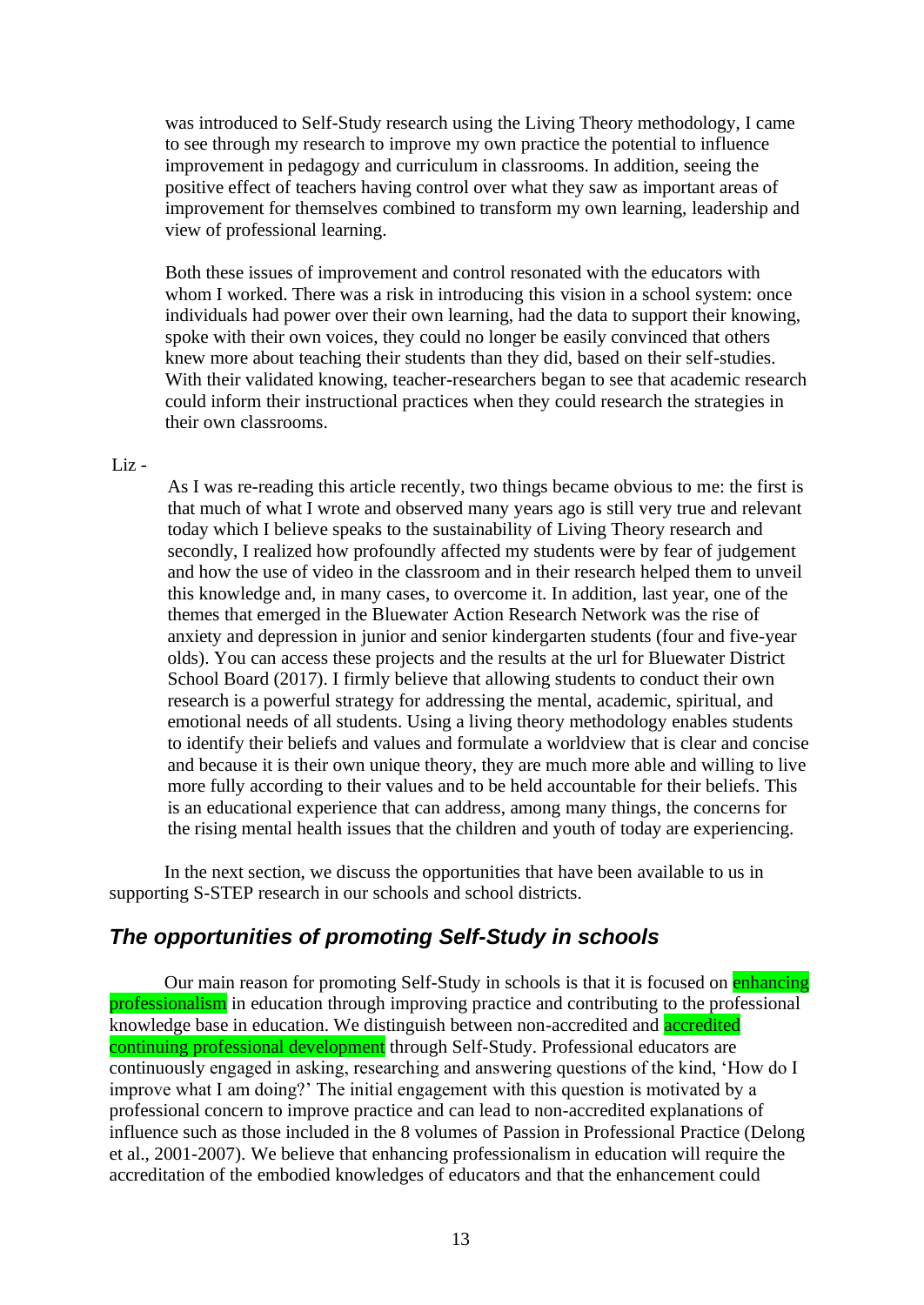was introduced to Self-Study research using the Living Theory methodology, I came to see through my research to improve my own practice the potential to influence improvement in pedagogy and curriculum in classrooms. In addition, seeing the positive effect of teachers having control over what they saw as important areas of improvement for themselves combined to transform my own learning, leadership and view of professional learning.

Both these issues of improvement and control resonated with the educators with whom I worked. There was a risk in introducing this vision in a school system: once individuals had power over their own learning, had the data to support their knowing, spoke with their own voices, they could no longer be easily convinced that others knew more about teaching their students than they did, based on their self-studies. With their validated knowing, teacher-researchers began to see that academic research could inform their instructional practices when they could research the strategies in their own classrooms.

#### Liz -

As I was re-reading this article recently, two things became obvious to me: the first is that much of what I wrote and observed many years ago is still very true and relevant today which I believe speaks to the sustainability of Living Theory research and secondly, I realized how profoundly affected my students were by fear of judgement and how the use of video in the classroom and in their research helped them to unveil this knowledge and, in many cases, to overcome it. In addition, last year, one of the themes that emerged in the Bluewater Action Research Network was the rise of anxiety and depression in junior and senior kindergarten students (four and five-year olds). You can access these projects and the results at the url for Bluewater District School Board (2017). I firmly believe that allowing students to conduct their own research is a powerful strategy for addressing the mental, academic, spiritual, and emotional needs of all students. Using a living theory methodology enables students to identify their beliefs and values and formulate a worldview that is clear and concise and because it is their own unique theory, they are much more able and willing to live more fully according to their values and to be held accountable for their beliefs. This is an educational experience that can address, among many things, the concerns for the rising mental health issues that the children and youth of today are experiencing.

In the next section, we discuss the opportunities that have been available to us in supporting S-STEP research in our schools and school districts.

# *The opportunities of promoting Self-Study in schools*

Our main reason for promoting Self-Study in schools is that it is focused on enhancing professionalism in education through improving practice and contributing to the professional knowledge base in education. We distinguish between non-accredited and **accredited** continuing professional development through Self-Study. Professional educators are continuously engaged in asking, researching and answering questions of the kind, 'How do I improve what I am doing?' The initial engagement with this question is motivated by a professional concern to improve practice and can lead to non-accredited explanations of influence such as those included in the 8 volumes of Passion in Professional Practice (Delong et al., 2001-2007). We believe that enhancing professionalism in education will require the accreditation of the embodied knowledges of educators and that the enhancement could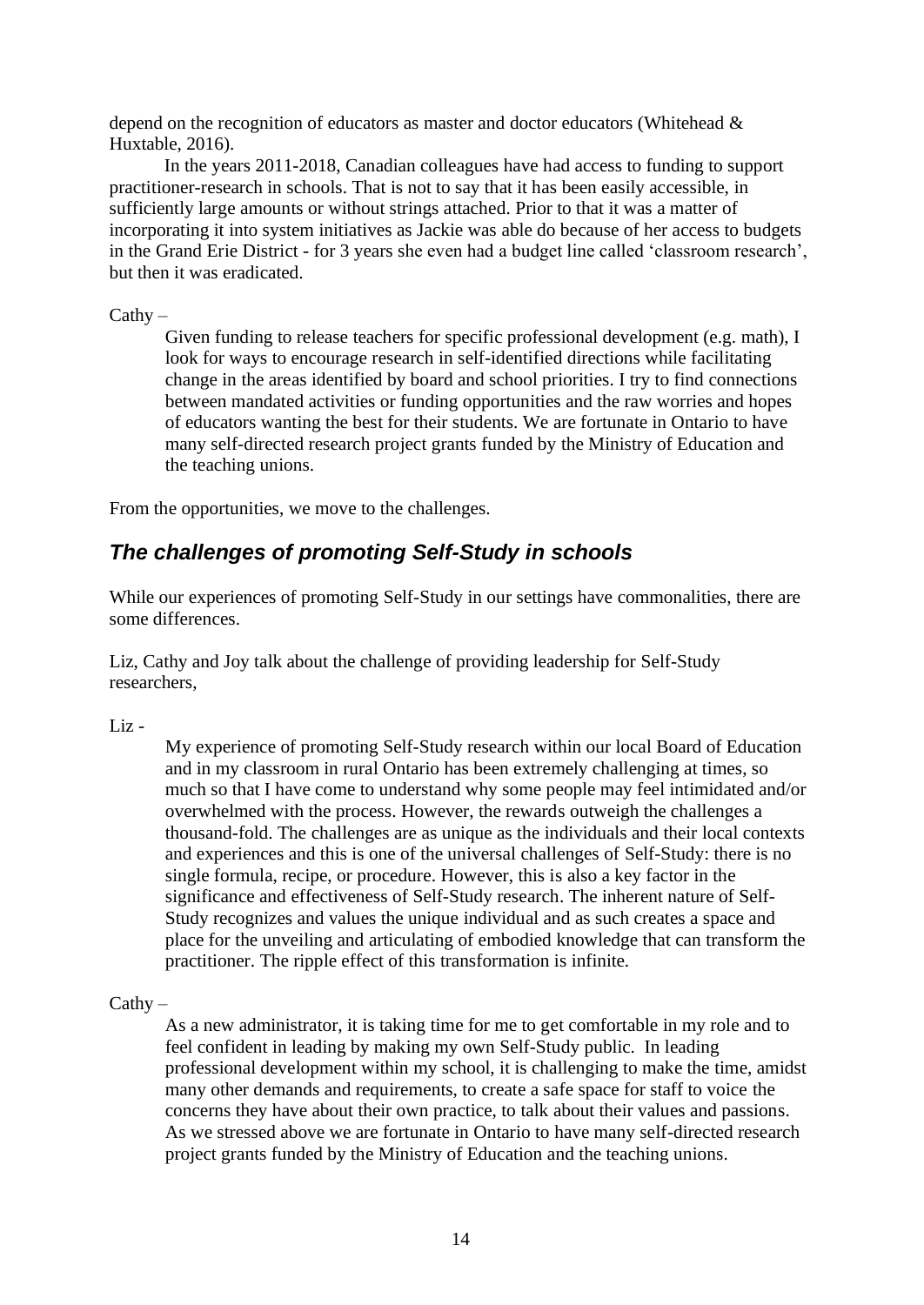depend on the recognition of educators as master and doctor educators (Whitehead & Huxtable, 2016).

In the years 2011-2018, Canadian colleagues have had access to funding to support practitioner-research in schools. That is not to say that it has been easily accessible, in sufficiently large amounts or without strings attached. Prior to that it was a matter of incorporating it into system initiatives as Jackie was able do because of her access to budgets in the Grand Erie District - for 3 years she even had a budget line called 'classroom research', but then it was eradicated.

 $Cathy -$ 

Given funding to release teachers for specific professional development (e.g. math), I look for ways to encourage research in self-identified directions while facilitating change in the areas identified by board and school priorities. I try to find connections between mandated activities or funding opportunities and the raw worries and hopes of educators wanting the best for their students. We are fortunate in Ontario to have many self-directed research project grants funded by the Ministry of Education and the teaching unions.

From the opportunities, we move to the challenges.

# *The challenges of promoting Self-Study in schools*

While our experiences of promoting Self-Study in our settings have commonalities, there are some differences.

Liz, Cathy and Joy talk about the challenge of providing leadership for Self-Study researchers,

Liz -

My experience of promoting Self-Study research within our local Board of Education and in my classroom in rural Ontario has been extremely challenging at times, so much so that I have come to understand why some people may feel intimidated and/or overwhelmed with the process. However, the rewards outweigh the challenges a thousand-fold. The challenges are as unique as the individuals and their local contexts and experiences and this is one of the universal challenges of Self-Study: there is no single formula, recipe, or procedure. However, this is also a key factor in the significance and effectiveness of Self-Study research. The inherent nature of Self-Study recognizes and values the unique individual and as such creates a space and place for the unveiling and articulating of embodied knowledge that can transform the practitioner. The ripple effect of this transformation is infinite.

 $Cathy -$ 

As a new administrator, it is taking time for me to get comfortable in my role and to feel confident in leading by making my own Self-Study public. In leading professional development within my school, it is challenging to make the time, amidst many other demands and requirements, to create a safe space for staff to voice the concerns they have about their own practice, to talk about their values and passions. As we stressed above we are fortunate in Ontario to have many self-directed research project grants funded by the Ministry of Education and the teaching unions.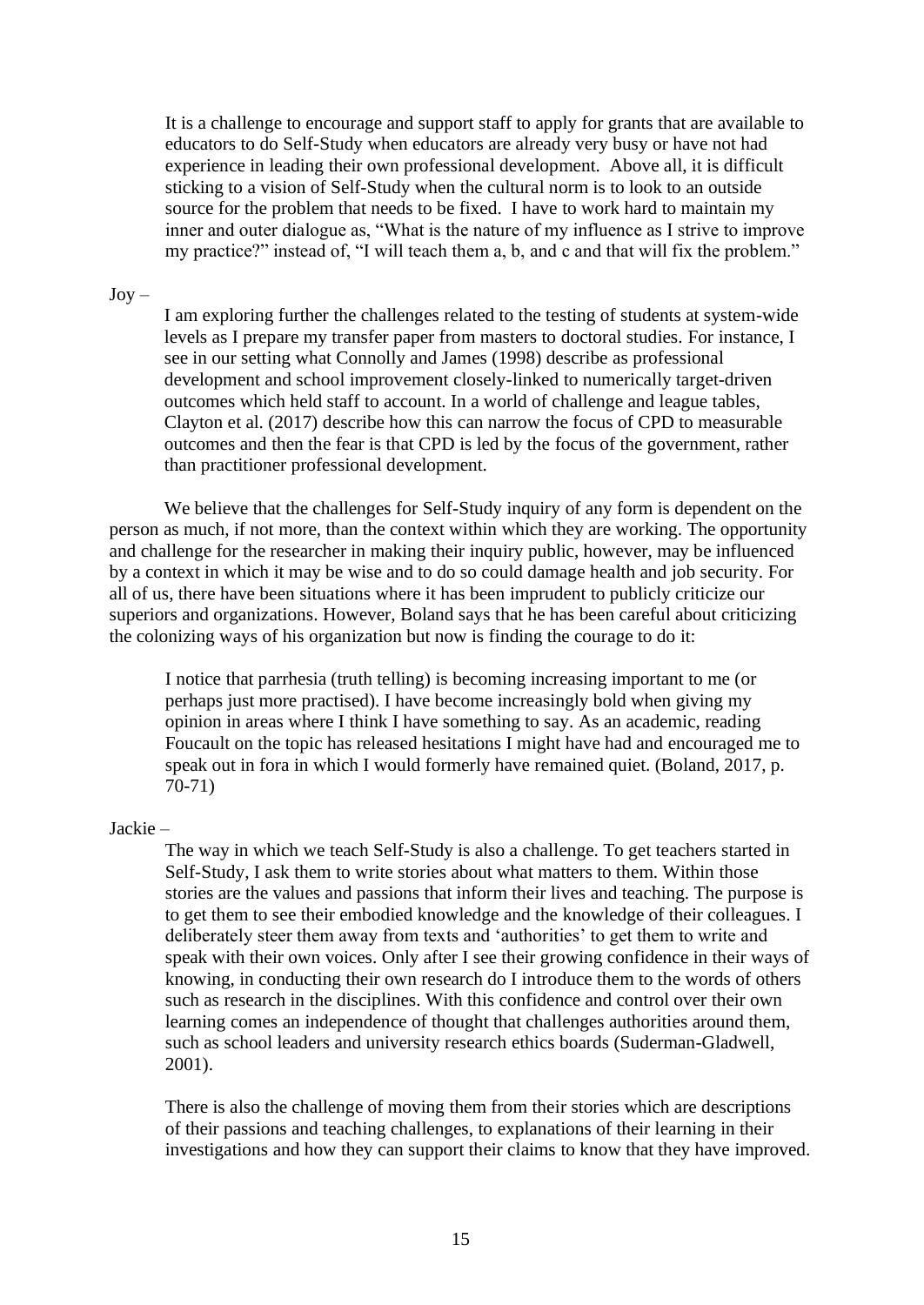It is a challenge to encourage and support staff to apply for grants that are available to educators to do Self-Study when educators are already very busy or have not had experience in leading their own professional development. Above all, it is difficult sticking to a vision of Self-Study when the cultural norm is to look to an outside source for the problem that needs to be fixed. I have to work hard to maintain my inner and outer dialogue as, "What is the nature of my influence as I strive to improve my practice?" instead of, "I will teach them a, b, and c and that will fix the problem."

### $Joy -$

I am exploring further the challenges related to the testing of students at system-wide levels as I prepare my transfer paper from masters to doctoral studies. For instance, I see in our setting what Connolly and James (1998) describe as professional development and school improvement closely-linked to numerically target-driven outcomes which held staff to account. In a world of challenge and league tables, Clayton et al. (2017) describe how this can narrow the focus of CPD to measurable outcomes and then the fear is that CPD is led by the focus of the government, rather than practitioner professional development.

We believe that the challenges for Self-Study inquiry of any form is dependent on the person as much, if not more, than the context within which they are working. The opportunity and challenge for the researcher in making their inquiry public, however, may be influenced by a context in which it may be wise and to do so could damage health and job security. For all of us, there have been situations where it has been imprudent to publicly criticize our superiors and organizations. However, Boland says that he has been careful about criticizing the colonizing ways of his organization but now is finding the courage to do it:

I notice that parrhesia (truth telling) is becoming increasing important to me (or perhaps just more practised). I have become increasingly bold when giving my opinion in areas where I think I have something to say. As an academic, reading Foucault on the topic has released hesitations I might have had and encouraged me to speak out in fora in which I would formerly have remained quiet. (Boland, 2017, p. 70-71)

#### Jackie –

The way in which we teach Self-Study is also a challenge. To get teachers started in Self-Study, I ask them to write stories about what matters to them. Within those stories are the values and passions that inform their lives and teaching. The purpose is to get them to see their embodied knowledge and the knowledge of their colleagues. I deliberately steer them away from texts and 'authorities' to get them to write and speak with their own voices. Only after I see their growing confidence in their ways of knowing, in conducting their own research do I introduce them to the words of others such as research in the disciplines. With this confidence and control over their own learning comes an independence of thought that challenges authorities around them, such as school leaders and university research ethics boards (Suderman-Gladwell, 2001).

There is also the challenge of moving them from their stories which are descriptions of their passions and teaching challenges, to explanations of their learning in their investigations and how they can support their claims to know that they have improved.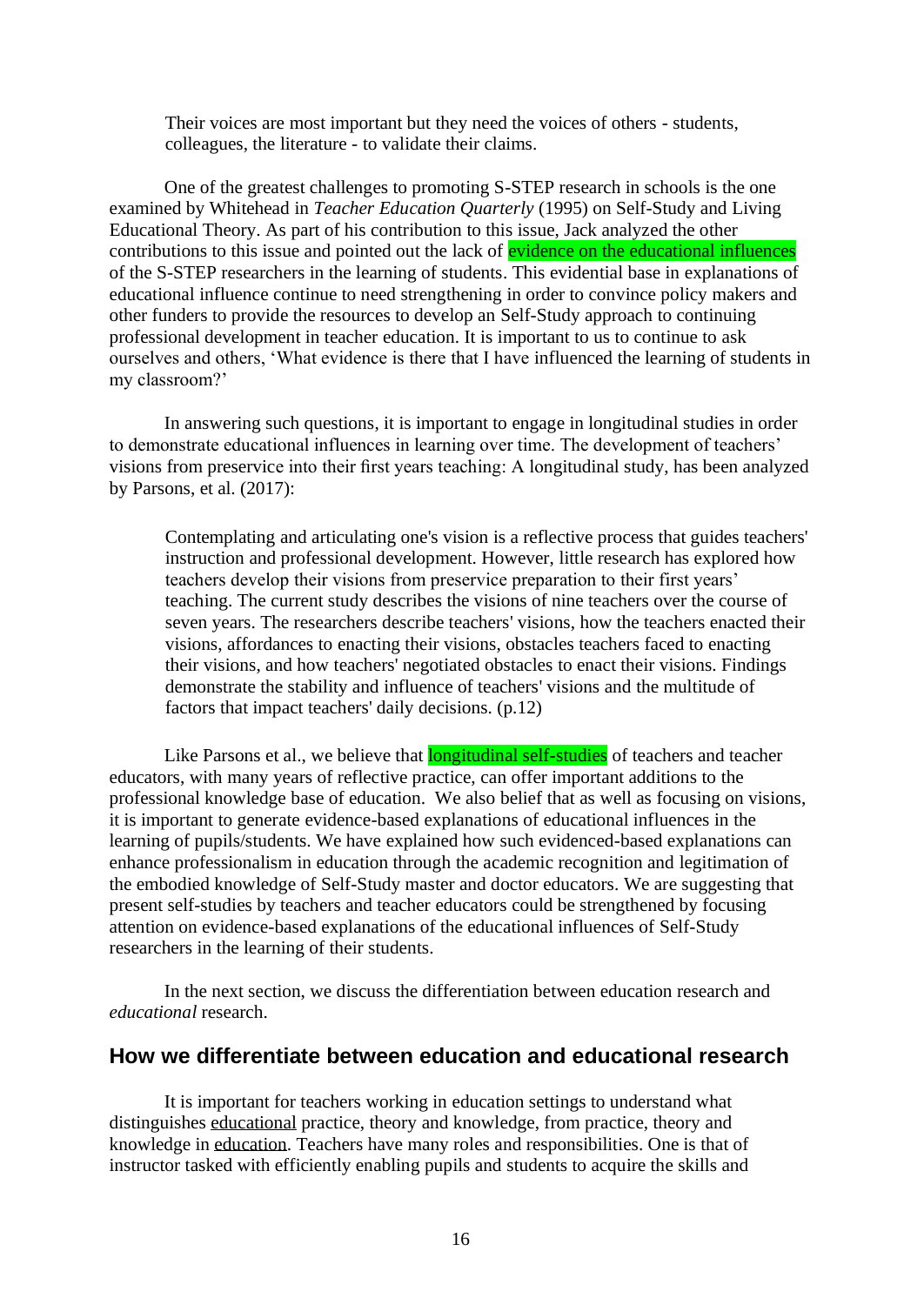Their voices are most important but they need the voices of others - students, colleagues, the literature - to validate their claims.

One of the greatest challenges to promoting S-STEP research in schools is the one examined by Whitehead in *Teacher Education Quarterly* (1995) on Self-Study and Living Educational Theory. As part of his contribution to this issue, Jack analyzed the other contributions to this issue and pointed out the lack of evidence on the educational influences of the S-STEP researchers in the learning of students. This evidential base in explanations of educational influence continue to need strengthening in order to convince policy makers and other funders to provide the resources to develop an Self-Study approach to continuing professional development in teacher education. It is important to us to continue to ask ourselves and others, 'What evidence is there that I have influenced the learning of students in my classroom?'

In answering such questions, it is important to engage in longitudinal studies in order to demonstrate educational influences in learning over time. The development of teachers' visions from preservice into their first years teaching: A longitudinal study, has been analyzed by Parsons, et al. (2017):

Contemplating and articulating one's vision is a reflective process that guides teachers' instruction and professional development. However, little research has explored how teachers develop their visions from preservice preparation to their first years' teaching. The current study describes the visions of nine teachers over the course of seven years. The researchers describe teachers' visions, how the teachers enacted their visions, affordances to enacting their visions, obstacles teachers faced to enacting their visions, and how teachers' negotiated obstacles to enact their visions. Findings demonstrate the stability and influence of teachers' visions and the multitude of factors that impact teachers' daily decisions. (p.12)

Like Parsons et al., we believe that **longitudinal self-studies** of teachers and teacher educators, with many years of reflective practice, can offer important additions to the professional knowledge base of education. We also belief that as well as focusing on visions, it is important to generate evidence-based explanations of educational influences in the learning of pupils/students. We have explained how such evidenced-based explanations can enhance professionalism in education through the academic recognition and legitimation of the embodied knowledge of Self-Study master and doctor educators. We are suggesting that present self-studies by teachers and teacher educators could be strengthened by focusing attention on evidence-based explanations of the educational influences of Self-Study researchers in the learning of their students.

In the next section, we discuss the differentiation between education research and *educational* research.

## **How we differentiate between education and educational research**

It is important for teachers working in education settings to understand what distinguishes educational practice, theory and knowledge, from practice, theory and knowledge in education. Teachers have many roles and responsibilities. One is that of instructor tasked with efficiently enabling pupils and students to acquire the skills and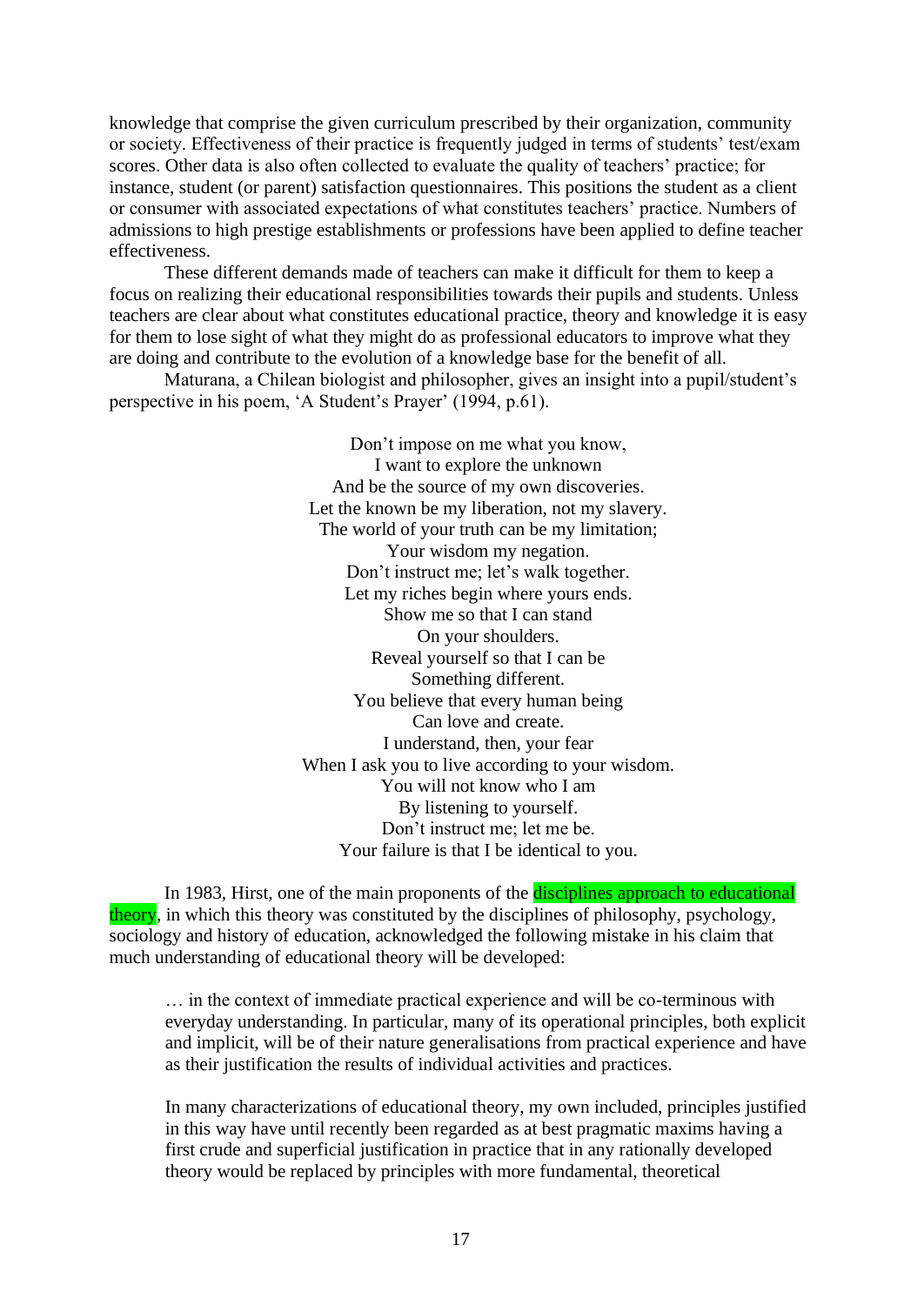knowledge that comprise the given curriculum prescribed by their organization, community or society. Effectiveness of their practice is frequently judged in terms of students' test/exam scores. Other data is also often collected to evaluate the quality of teachers' practice; for instance, student (or parent) satisfaction questionnaires. This positions the student as a client or consumer with associated expectations of what constitutes teachers' practice. Numbers of admissions to high prestige establishments or professions have been applied to define teacher effectiveness.

These different demands made of teachers can make it difficult for them to keep a focus on realizing their educational responsibilities towards their pupils and students. Unless teachers are clear about what constitutes educational practice, theory and knowledge it is easy for them to lose sight of what they might do as professional educators to improve what they are doing and contribute to the evolution of a knowledge base for the benefit of all.

Maturana, a Chilean biologist and philosopher, gives an insight into a pupil/student's perspective in his poem, 'A Student's Prayer' (1994, p.61).

> Don't impose on me what you know, I want to explore the unknown And be the source of my own discoveries. Let the known be my liberation, not my slavery. The world of your truth can be my limitation; Your wisdom my negation. Don't instruct me; let's walk together. Let my riches begin where yours ends. Show me so that I can stand On your shoulders. Reveal yourself so that I can be Something different. You believe that every human being Can love and create. I understand, then, your fear When I ask you to live according to your wisdom. You will not know who I am By listening to yourself. Don't instruct me; let me be. Your failure is that I be identical to you.

In 1983, Hirst, one of the main proponents of the disciplines approach to educational theory, in which this theory was constituted by the disciplines of philosophy, psychology, sociology and history of education, acknowledged the following mistake in his claim that much understanding of educational theory will be developed:

… in the context of immediate practical experience and will be co-terminous with everyday understanding. In particular, many of its operational principles, both explicit and implicit, will be of their nature generalisations from practical experience and have as their justification the results of individual activities and practices.

In many characterizations of educational theory, my own included, principles justified in this way have until recently been regarded as at best pragmatic maxims having a first crude and superficial justification in practice that in any rationally developed theory would be replaced by principles with more fundamental, theoretical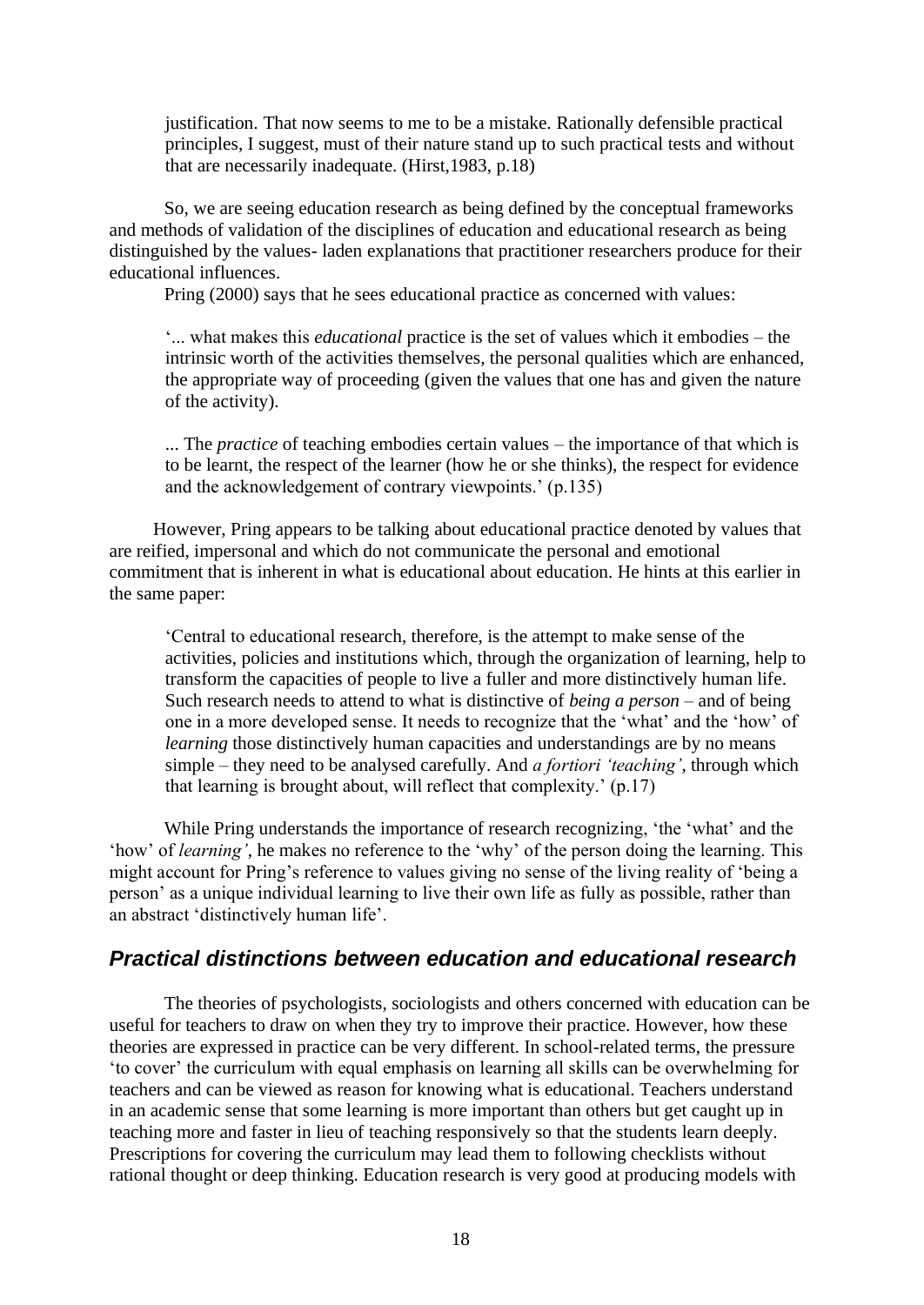justification. That now seems to me to be a mistake. Rationally defensible practical principles, I suggest, must of their nature stand up to such practical tests and without that are necessarily inadequate. (Hirst,1983, p.18)

So, we are seeing education research as being defined by the conceptual frameworks and methods of validation of the disciplines of education and educational research as being distinguished by the values- laden explanations that practitioner researchers produce for their educational influences.

Pring (2000) says that he sees educational practice as concerned with values:

'... what makes this *educational* practice is the set of values which it embodies – the intrinsic worth of the activities themselves, the personal qualities which are enhanced, the appropriate way of proceeding (given the values that one has and given the nature of the activity).

... The *practice* of teaching embodies certain values – the importance of that which is to be learnt, the respect of the learner (how he or she thinks), the respect for evidence and the acknowledgement of contrary viewpoints.' (p.135)

However, Pring appears to be talking about educational practice denoted by values that are reified, impersonal and which do not communicate the personal and emotional commitment that is inherent in what is educational about education. He hints at this earlier in the same paper:

'Central to educational research, therefore, is the attempt to make sense of the activities, policies and institutions which, through the organization of learning, help to transform the capacities of people to live a fuller and more distinctively human life. Such research needs to attend to what is distinctive of *being a person* – and of being one in a more developed sense. It needs to recognize that the 'what' and the 'how' of *learning* those distinctively human capacities and understandings are by no means simple – they need to be analysed carefully. And *a fortiori 'teaching'*, through which that learning is brought about, will reflect that complexity.' (p.17)

While Pring understands the importance of research recognizing, 'the 'what' and the 'how' of *learning'*, he makes no reference to the 'why' of the person doing the learning. This might account for Pring's reference to values giving no sense of the living reality of 'being a person' as a unique individual learning to live their own life as fully as possible, rather than an abstract 'distinctively human life'.

## *Practical distinctions between education and educational research*

The theories of psychologists, sociologists and others concerned with education can be useful for teachers to draw on when they try to improve their practice. However, how these theories are expressed in practice can be very different. In school-related terms, the pressure 'to cover' the curriculum with equal emphasis on learning all skills can be overwhelming for teachers and can be viewed as reason for knowing what is educational. Teachers understand in an academic sense that some learning is more important than others but get caught up in teaching more and faster in lieu of teaching responsively so that the students learn deeply. Prescriptions for covering the curriculum may lead them to following checklists without rational thought or deep thinking. Education research is very good at producing models with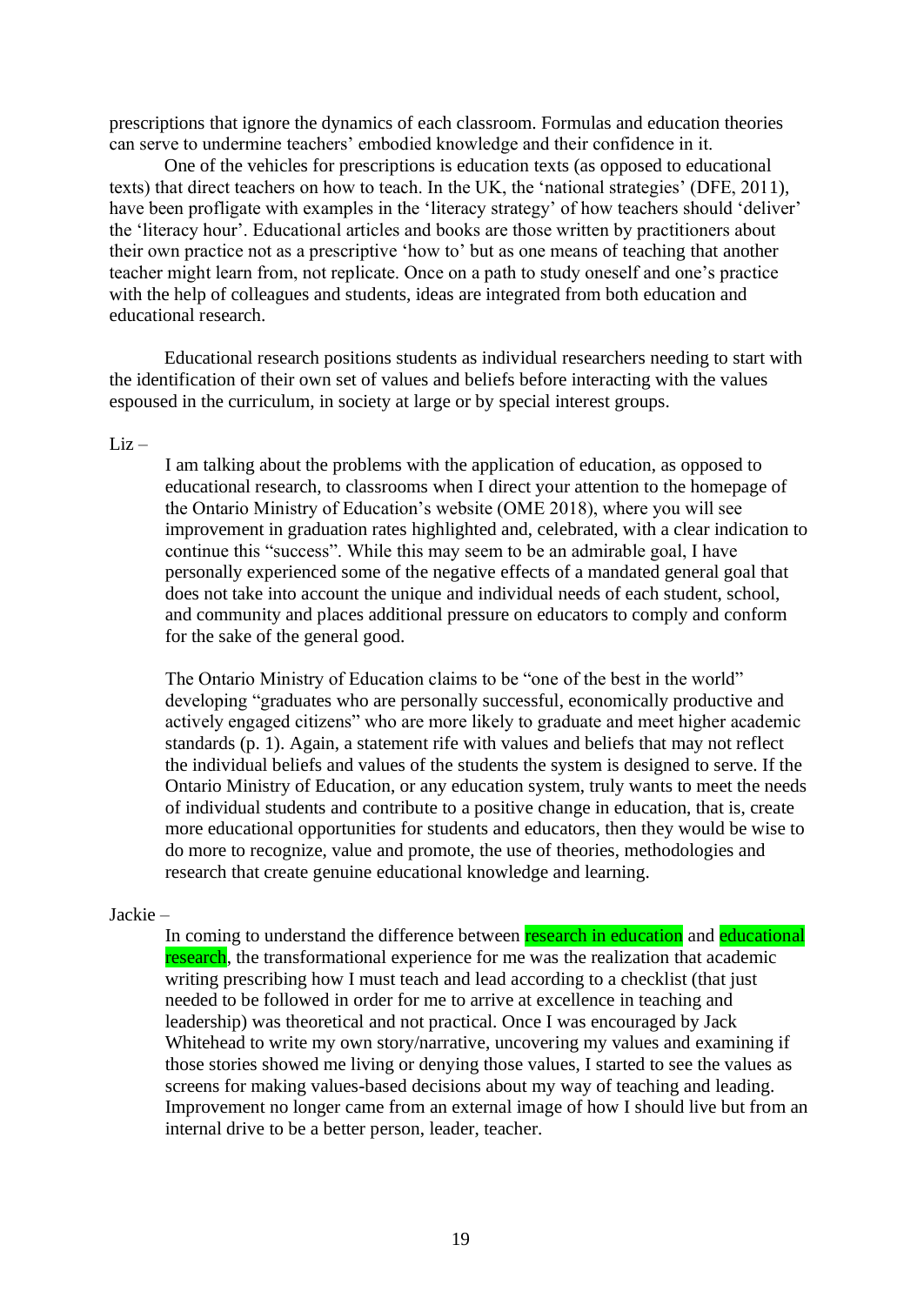prescriptions that ignore the dynamics of each classroom. Formulas and education theories can serve to undermine teachers' embodied knowledge and their confidence in it.

One of the vehicles for prescriptions is education texts (as opposed to educational texts) that direct teachers on how to teach. In the UK, the 'national strategies' (DFE, 2011), have been profligate with examples in the 'literacy strategy' of how teachers should 'deliver' the 'literacy hour'. Educational articles and books are those written by practitioners about their own practice not as a prescriptive 'how to' but as one means of teaching that another teacher might learn from, not replicate. Once on a path to study oneself and one's practice with the help of colleagues and students, ideas are integrated from both education and educational research.

Educational research positions students as individual researchers needing to start with the identification of their own set of values and beliefs before interacting with the values espoused in the curriculum, in society at large or by special interest groups.

#### $Liz -$

I am talking about the problems with the application of education, as opposed to educational research, to classrooms when I direct your attention to the homepage of the Ontario Ministry of Education's website (OME 2018), where you will see improvement in graduation rates highlighted and, celebrated, with a clear indication to continue this "success". While this may seem to be an admirable goal, I have personally experienced some of the negative effects of a mandated general goal that does not take into account the unique and individual needs of each student, school, and community and places additional pressure on educators to comply and conform for the sake of the general good.

The Ontario Ministry of Education claims to be "one of the best in the world" developing "graduates who are personally successful, economically productive and actively engaged citizens" who are more likely to graduate and meet higher academic standards (p. 1). Again, a statement rife with values and beliefs that may not reflect the individual beliefs and values of the students the system is designed to serve. If the Ontario Ministry of Education, or any education system, truly wants to meet the needs of individual students and contribute to a positive change in education, that is, create more educational opportunities for students and educators, then they would be wise to do more to recognize, value and promote, the use of theories, methodologies and research that create genuine educational knowledge and learning.

#### Jackie –

In coming to understand the difference between research in education and educational research, the transformational experience for me was the realization that academic writing prescribing how I must teach and lead according to a checklist (that just needed to be followed in order for me to arrive at excellence in teaching and leadership) was theoretical and not practical. Once I was encouraged by Jack Whitehead to write my own story/narrative, uncovering my values and examining if those stories showed me living or denying those values, I started to see the values as screens for making values-based decisions about my way of teaching and leading. Improvement no longer came from an external image of how I should live but from an internal drive to be a better person, leader, teacher.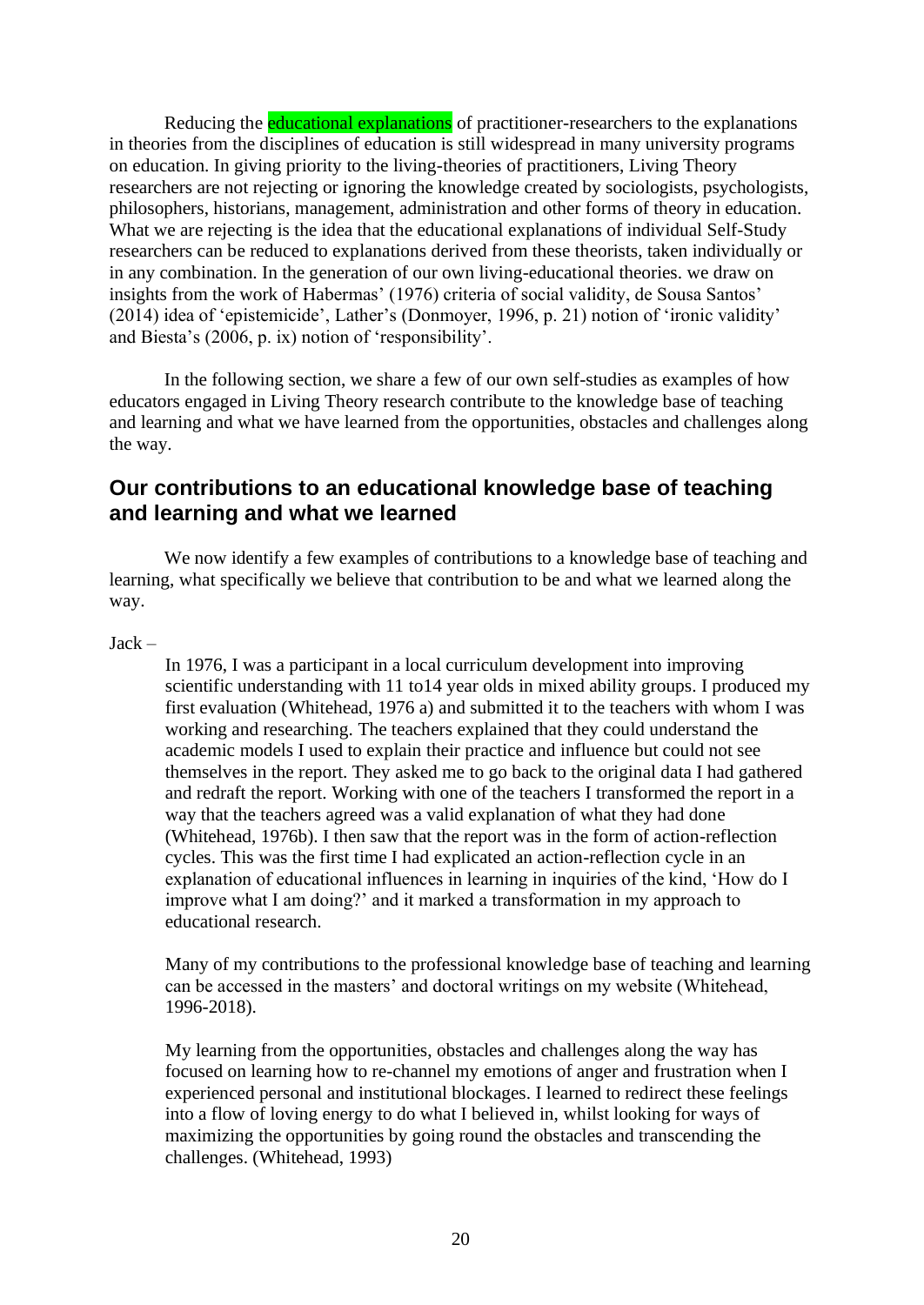Reducing the **educational explanations** of practitioner-researchers to the explanations in theories from the disciplines of education is still widespread in many university programs on education. In giving priority to the living-theories of practitioners, Living Theory researchers are not rejecting or ignoring the knowledge created by sociologists, psychologists, philosophers, historians, management, administration and other forms of theory in education. What we are rejecting is the idea that the educational explanations of individual Self-Study researchers can be reduced to explanations derived from these theorists, taken individually or in any combination. In the generation of our own living-educational theories. we draw on insights from the work of Habermas' (1976) criteria of social validity, de Sousa Santos' (2014) idea of 'epistemicide', Lather's (Donmoyer, 1996, p. 21) notion of 'ironic validity' and Biesta's (2006, p. ix) notion of 'responsibility'.

In the following section, we share a few of our own self-studies as examples of how educators engaged in Living Theory research contribute to the knowledge base of teaching and learning and what we have learned from the opportunities, obstacles and challenges along the way.

# **Our contributions to an educational knowledge base of teaching and learning and what we learned**

We now identify a few examples of contributions to a knowledge base of teaching and learning, what specifically we believe that contribution to be and what we learned along the way.

### Jack –

In 1976, I was a participant in a local curriculum development into improving scientific understanding with 11 to14 year olds in mixed ability groups. I produced my first evaluation (Whitehead, 1976 a) and submitted it to the teachers with whom I was working and researching. The teachers explained that they could understand the academic models I used to explain their practice and influence but could not see themselves in the report. They asked me to go back to the original data I had gathered and redraft the report. Working with one of the teachers I transformed the report in a way that the teachers agreed was a valid explanation of what they had done (Whitehead, 1976b). I then saw that the report was in the form of action-reflection cycles. This was the first time I had explicated an action-reflection cycle in an explanation of educational influences in learning in inquiries of the kind, 'How do I improve what I am doing?' and it marked a transformation in my approach to educational research.

Many of my contributions to the professional knowledge base of teaching and learning can be accessed in the masters' and doctoral writings on my website (Whitehead, 1996-2018).

My learning from the opportunities, obstacles and challenges along the way has focused on learning how to re-channel my emotions of anger and frustration when I experienced personal and institutional blockages. I learned to redirect these feelings into a flow of loving energy to do what I believed in, whilst looking for ways of maximizing the opportunities by going round the obstacles and transcending the challenges. (Whitehead, 1993)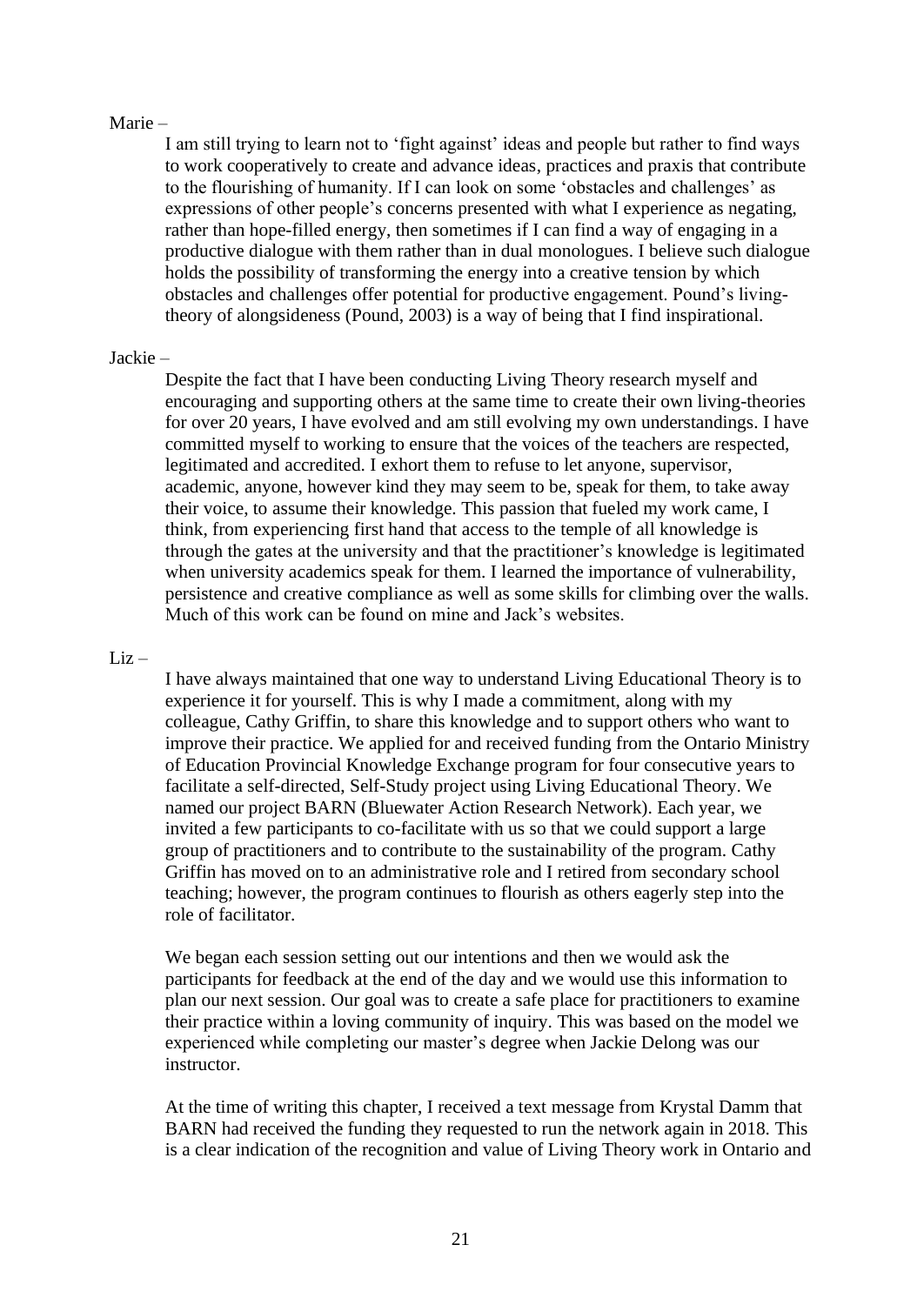### Marie –

I am still trying to learn not to 'fight against' ideas and people but rather to find ways to work cooperatively to create and advance ideas, practices and praxis that contribute to the flourishing of humanity. If I can look on some 'obstacles and challenges' as expressions of other people's concerns presented with what I experience as negating, rather than hope-filled energy, then sometimes if I can find a way of engaging in a productive dialogue with them rather than in dual monologues. I believe such dialogue holds the possibility of transforming the energy into a creative tension by which obstacles and challenges offer potential for productive engagement. Pound's livingtheory of alongsideness (Pound, 2003) is a way of being that I find inspirational.

#### Jackie –

Despite the fact that I have been conducting Living Theory research myself and encouraging and supporting others at the same time to create their own living-theories for over 20 years, I have evolved and am still evolving my own understandings. I have committed myself to working to ensure that the voices of the teachers are respected, legitimated and accredited. I exhort them to refuse to let anyone, supervisor, academic, anyone, however kind they may seem to be, speak for them, to take away their voice, to assume their knowledge. This passion that fueled my work came, I think, from experiencing first hand that access to the temple of all knowledge is through the gates at the university and that the practitioner's knowledge is legitimated when university academics speak for them. I learned the importance of vulnerability, persistence and creative compliance as well as some skills for climbing over the walls. Much of this work can be found on mine and Jack's websites.

#### $Liz -$

I have always maintained that one way to understand Living Educational Theory is to experience it for yourself. This is why I made a commitment, along with my colleague, Cathy Griffin, to share this knowledge and to support others who want to improve their practice. We applied for and received funding from the Ontario Ministry of Education Provincial Knowledge Exchange program for four consecutive years to facilitate a self-directed, Self-Study project using Living Educational Theory. We named our project BARN (Bluewater Action Research Network). Each year, we invited a few participants to co-facilitate with us so that we could support a large group of practitioners and to contribute to the sustainability of the program. Cathy Griffin has moved on to an administrative role and I retired from secondary school teaching; however, the program continues to flourish as others eagerly step into the role of facilitator.

We began each session setting out our intentions and then we would ask the participants for feedback at the end of the day and we would use this information to plan our next session. Our goal was to create a safe place for practitioners to examine their practice within a loving community of inquiry. This was based on the model we experienced while completing our master's degree when Jackie Delong was our instructor.

At the time of writing this chapter, I received a text message from Krystal Damm that BARN had received the funding they requested to run the network again in 2018. This is a clear indication of the recognition and value of Living Theory work in Ontario and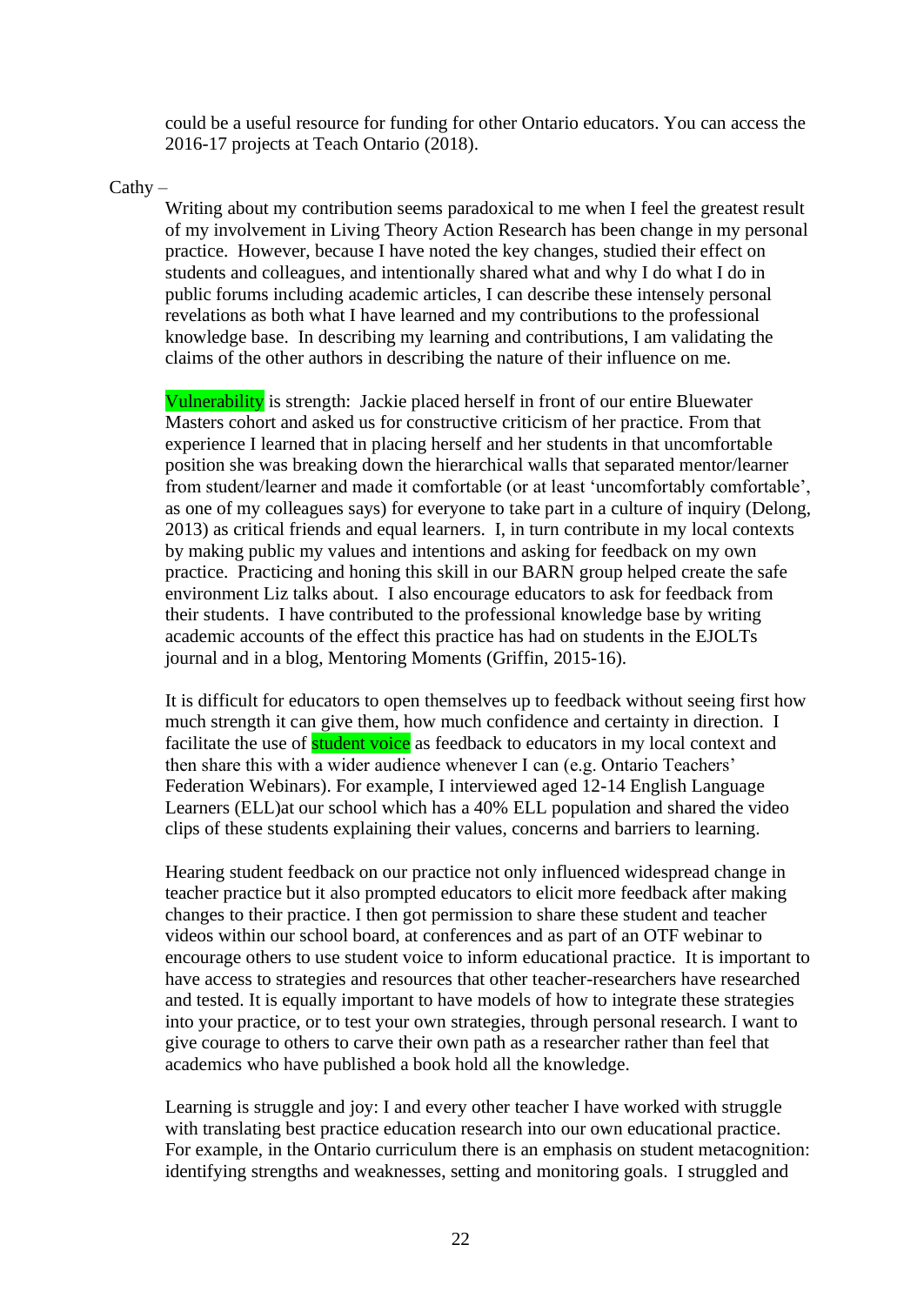could be a useful resource for funding for other Ontario educators. You can access the 2016-17 projects at Teach Ontario (2018).

 $Cathv -$ 

Writing about my contribution seems paradoxical to me when I feel the greatest result of my involvement in Living Theory Action Research has been change in my personal practice. However, because I have noted the key changes, studied their effect on students and colleagues, and intentionally shared what and why I do what I do in public forums including academic articles, I can describe these intensely personal revelations as both what I have learned and my contributions to the professional knowledge base. In describing my learning and contributions, I am validating the claims of the other authors in describing the nature of their influence on me.

Vulnerability is strength: Jackie placed herself in front of our entire Bluewater Masters cohort and asked us for constructive criticism of her practice. From that experience I learned that in placing herself and her students in that uncomfortable position she was breaking down the hierarchical walls that separated mentor/learner from student/learner and made it comfortable (or at least 'uncomfortably comfortable', as one of my colleagues says) for everyone to take part in a culture of inquiry (Delong, 2013) as critical friends and equal learners. I, in turn contribute in my local contexts by making public my values and intentions and asking for feedback on my own practice. Practicing and honing this skill in our BARN group helped create the safe environment Liz talks about. I also encourage educators to ask for feedback from their students. I have contributed to the professional knowledge base by writing academic accounts of the effect this practice has had on students in the EJOLTs journal and in a blog, Mentoring Moments (Griffin, 2015-16).

It is difficult for educators to open themselves up to feedback without seeing first how much strength it can give them, how much confidence and certainty in direction. I facilitate the use of **student voice** as feedback to educators in my local context and then share this with a wider audience whenever I can (e.g. Ontario Teachers' Federation Webinars). For example, I interviewed aged 12-14 English Language Learners (ELL)at our school which has a 40% ELL population and shared the video clips of these students explaining their values, concerns and barriers to learning.

Hearing student feedback on our practice not only influenced widespread change in teacher practice but it also prompted educators to elicit more feedback after making changes to their practice. I then got permission to share these student and teacher videos within our school board, at conferences and as part of an OTF webinar to encourage others to use student voice to inform educational practice. It is important to have access to strategies and resources that other teacher-researchers have researched and tested. It is equally important to have models of how to integrate these strategies into your practice, or to test your own strategies, through personal research. I want to give courage to others to carve their own path as a researcher rather than feel that academics who have published a book hold all the knowledge.

Learning is struggle and joy: I and every other teacher I have worked with struggle with translating best practice education research into our own educational practice. For example, in the Ontario curriculum there is an emphasis on student metacognition: identifying strengths and weaknesses, setting and monitoring goals. I struggled and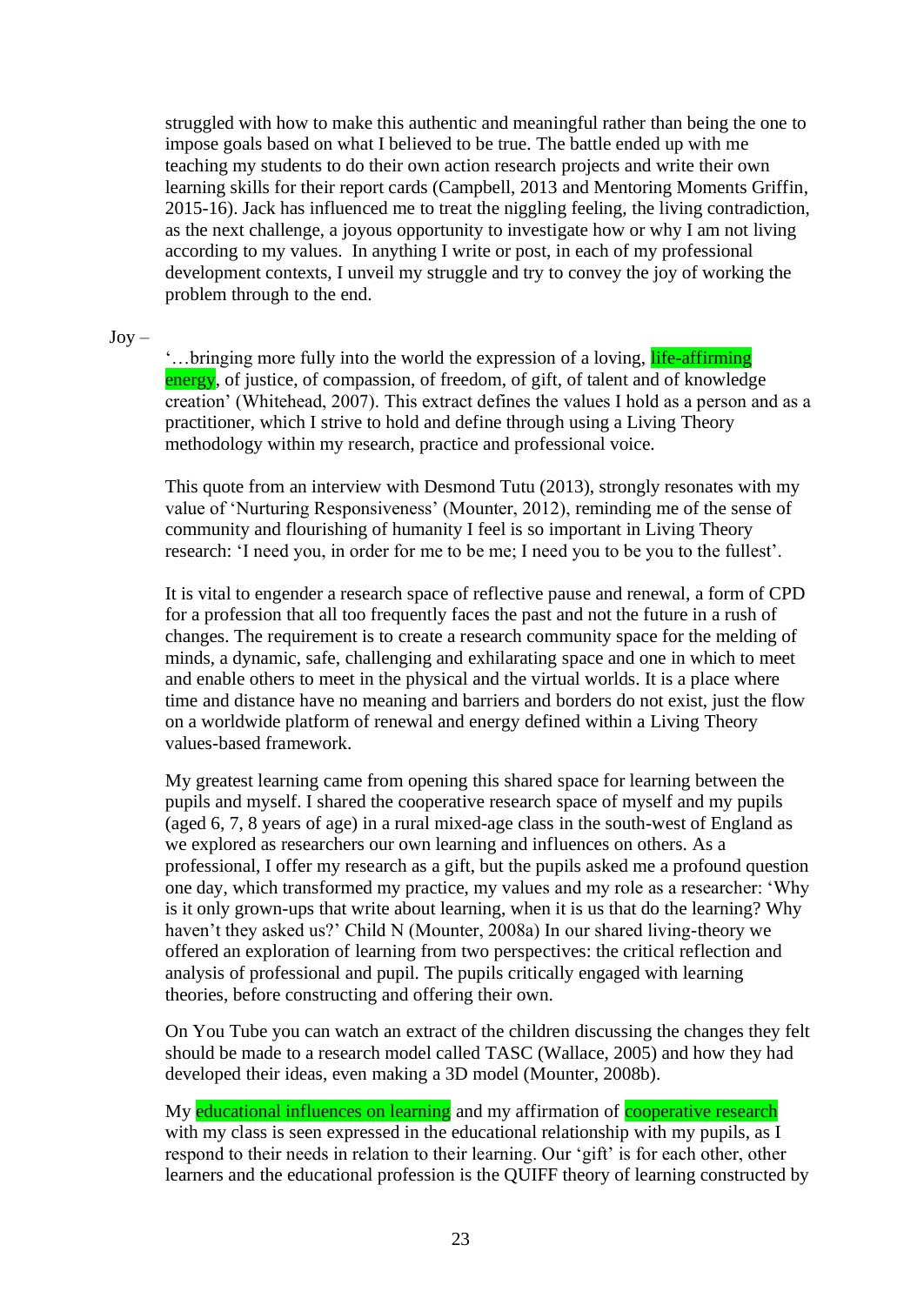struggled with how to make this authentic and meaningful rather than being the one to impose goals based on what I believed to be true. The battle ended up with me teaching my students to do their own action research projects and write their own learning skills for their report cards (Campbell, 2013 and Mentoring Moments Griffin, 2015-16). Jack has influenced me to treat the niggling feeling, the living contradiction, as the next challenge, a joyous opportunity to investigate how or why I am not living according to my values. In anything I write or post, in each of my professional development contexts, I unveil my struggle and try to convey the joy of working the problem through to the end.

### $Joy -$

'…bringing more fully into the world the expression of a loving, life-affirming energy, of justice, of compassion, of freedom, of gift, of talent and of knowledge creation' (Whitehead, 2007). This extract defines the values I hold as a person and as a practitioner, which I strive to hold and define through using a Living Theory methodology within my research, practice and professional voice.

This quote from an interview with Desmond Tutu (2013), strongly resonates with my value of 'Nurturing Responsiveness' (Mounter, 2012), reminding me of the sense of community and flourishing of humanity I feel is so important in Living Theory research: 'I need you, in order for me to be me; I need you to be you to the fullest'.

It is vital to engender a research space of reflective pause and renewal, a form of CPD for a profession that all too frequently faces the past and not the future in a rush of changes. The requirement is to create a research community space for the melding of minds, a dynamic, safe, challenging and exhilarating space and one in which to meet and enable others to meet in the physical and the virtual worlds. It is a place where time and distance have no meaning and barriers and borders do not exist, just the flow on a worldwide platform of renewal and energy defined within a Living Theory values-based framework.

My greatest learning came from opening this shared space for learning between the pupils and myself. I shared the cooperative research space of myself and my pupils (aged 6, 7, 8 years of age) in a rural mixed-age class in the south-west of England as we explored as researchers our own learning and influences on others. As a professional, I offer my research as a gift, but the pupils asked me a profound question one day, which transformed my practice, my values and my role as a researcher: 'Why is it only grown-ups that write about learning, when it is us that do the learning? Why haven't they asked us?' Child N (Mounter, 2008a) In our shared living-theory we offered an exploration of learning from two perspectives: the critical reflection and analysis of professional and pupil. The pupils critically engaged with learning theories, before constructing and offering their own.

On You Tube you can watch an extract of the children discussing the changes they felt should be made to a research model called TASC (Wallace, 2005) and how they had developed their ideas, even making a 3D model (Mounter, 2008b).

My educational influences on learning and my affirmation of cooperative research with my class is seen expressed in the educational relationship with my pupils, as I respond to their needs in relation to their learning. Our 'gift' is for each other, other learners and the educational profession is the QUIFF theory of learning constructed by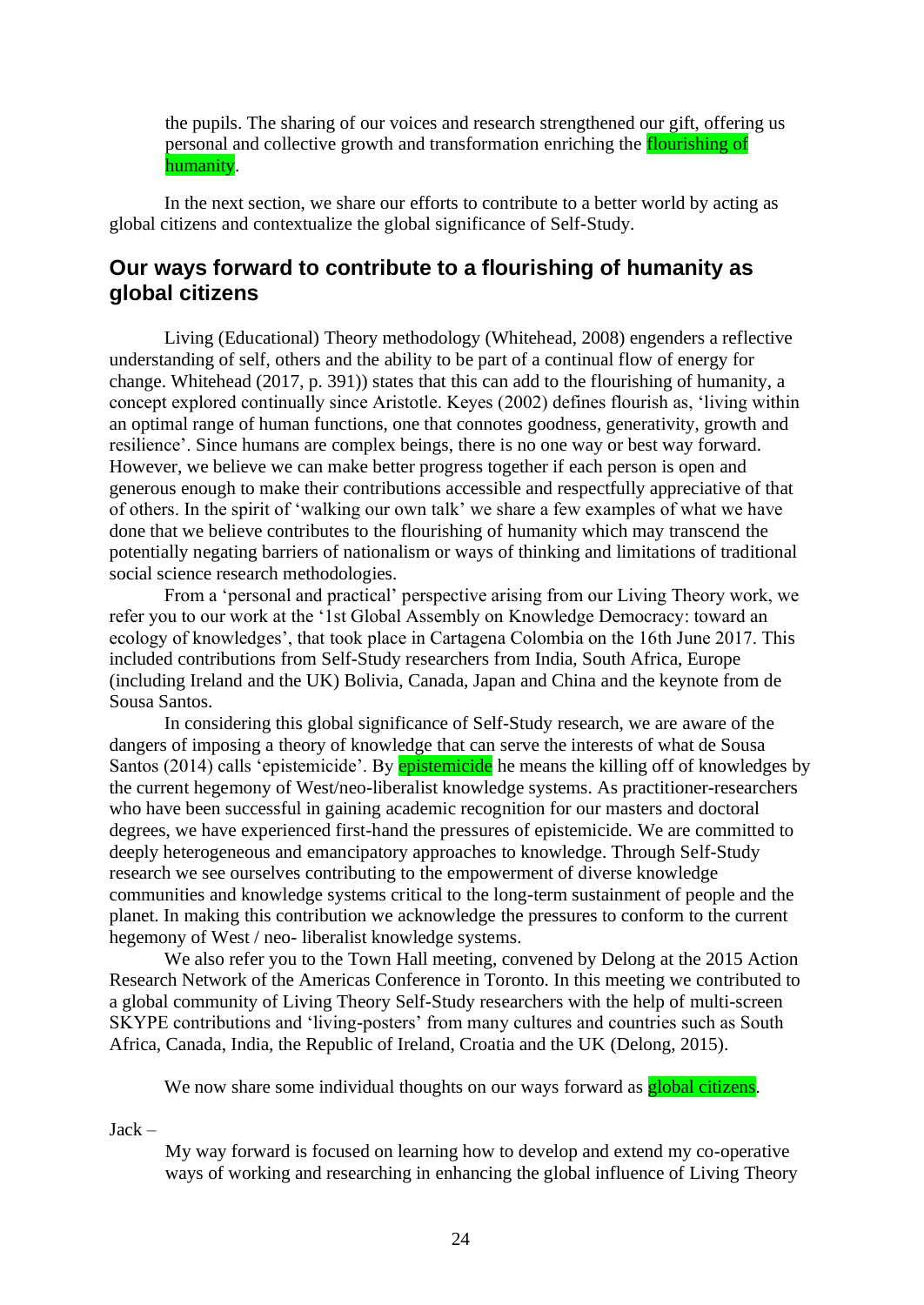the pupils. The sharing of our voices and research strengthened our gift, offering us personal and collective growth and transformation enriching the flourishing of humanity.

In the next section, we share our efforts to contribute to a better world by acting as global citizens and contextualize the global significance of Self-Study.

# **Our ways forward to contribute to a flourishing of humanity as global citizens**

Living (Educational) Theory methodology (Whitehead, 2008) engenders a reflective understanding of self, others and the ability to be part of a continual flow of energy for change. Whitehead (2017, p. 391)) states that this can add to the flourishing of humanity, a concept explored continually since Aristotle. Keyes (2002) defines flourish as, 'living within an optimal range of human functions, one that connotes goodness, generativity, growth and resilience'. Since humans are complex beings, there is no one way or best way forward. However, we believe we can make better progress together if each person is open and generous enough to make their contributions accessible and respectfully appreciative of that of others. In the spirit of 'walking our own talk' we share a few examples of what we have done that we believe contributes to the flourishing of humanity which may transcend the potentially negating barriers of nationalism or ways of thinking and limitations of traditional social science research methodologies.

From a 'personal and practical' perspective arising from our Living Theory work, we refer you to our work at the '1st Global Assembly on Knowledge Democracy: toward an ecology of knowledges', that took place in Cartagena Colombia on the 16th June 2017. This included contributions from Self-Study researchers from India, South Africa, Europe (including Ireland and the UK) Bolivia, Canada, Japan and China and the keynote from de Sousa Santos.

In considering this global significance of Self-Study research, we are aware of the dangers of imposing a theory of knowledge that can serve the interests of what de Sousa Santos (2014) calls 'epistemicide'. By **epistemicide** he means the killing off of knowledges by the current hegemony of West/neo-liberalist knowledge systems. As practitioner-researchers who have been successful in gaining academic recognition for our masters and doctoral degrees, we have experienced first-hand the pressures of epistemicide. We are committed to deeply heterogeneous and emancipatory approaches to knowledge. Through Self-Study research we see ourselves contributing to the empowerment of diverse knowledge communities and knowledge systems critical to the long-term sustainment of people and the planet. In making this contribution we acknowledge the pressures to conform to the current hegemony of West / neo- liberalist knowledge systems.

We also refer you to the Town Hall meeting, convened by Delong at the 2015 Action Research Network of the Americas Conference in Toronto. In this meeting we contributed to a global community of Living Theory Self-Study researchers with the help of multi-screen SKYPE contributions and 'living-posters' from many cultures and countries such as South Africa, Canada, India, the Republic of Ireland, Croatia and the UK (Delong, 2015).

We now share some individual thoughts on our ways forward as **global citizens**.

Jack –

My way forward is focused on learning how to develop and extend my co-operative ways of working and researching in enhancing the global influence of Living Theory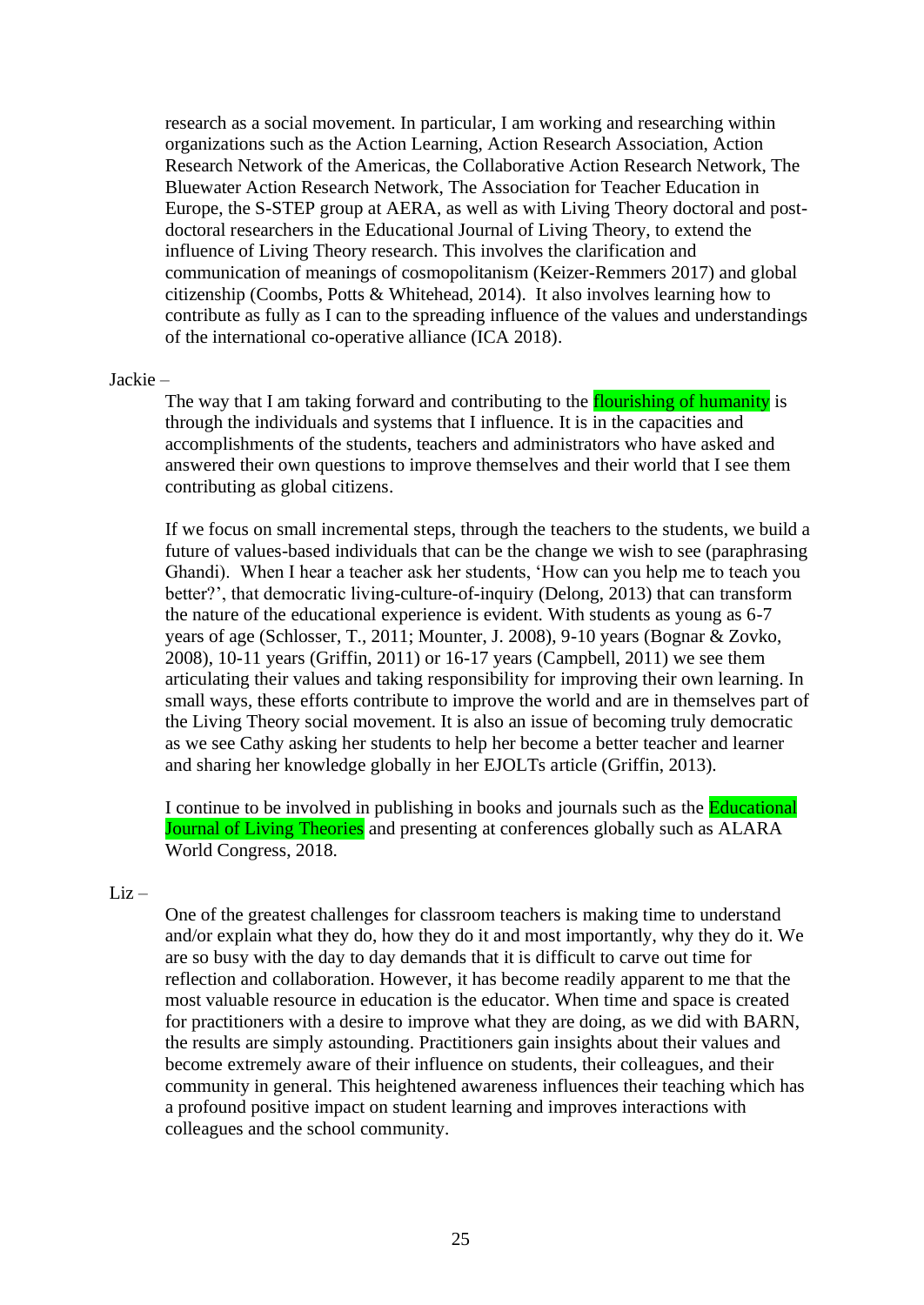research as a social movement. In particular, I am working and researching within organizations such as the Action Learning, Action Research Association, Action Research Network of the Americas, the Collaborative Action Research Network, The Bluewater Action Research Network, The Association for Teacher Education in Europe, the S-STEP group at AERA, as well as with Living Theory doctoral and postdoctoral researchers in the Educational Journal of Living Theory, to extend the influence of Living Theory research. This involves the clarification and communication of meanings of cosmopolitanism (Keizer-Remmers 2017) and global citizenship (Coombs, Potts & Whitehead, 2014). It also involves learning how to contribute as fully as I can to the spreading influence of the values and understandings of the international co-operative alliance (ICA 2018).

#### Jackie –

The way that I am taking forward and contributing to the flourishing of humanity is through the individuals and systems that I influence. It is in the capacities and accomplishments of the students, teachers and administrators who have asked and answered their own questions to improve themselves and their world that I see them contributing as global citizens.

If we focus on small incremental steps, through the teachers to the students, we build a future of values-based individuals that can be the change we wish to see (paraphrasing Ghandi). When I hear a teacher ask her students, 'How can you help me to teach you better?', that democratic living-culture-of-inquiry (Delong, 2013) that can transform the nature of the educational experience is evident. With students as young as 6-7 years of age (Schlosser, T., 2011; Mounter, J. 2008), 9-10 years (Bognar & Zovko, 2008), 10-11 years (Griffin, 2011) or 16-17 years (Campbell, 2011) we see them articulating their values and taking responsibility for improving their own learning. In small ways, these efforts contribute to improve the world and are in themselves part of the Living Theory social movement. It is also an issue of becoming truly democratic as we see Cathy asking her students to help her become a better teacher and learner and sharing her knowledge globally in her EJOLTs article (Griffin, 2013).

I continue to be involved in publishing in books and journals such as the Educational Journal of Living Theories and presenting at conferences globally such as ALARA World Congress, 2018.

### $Liz -$

One of the greatest challenges for classroom teachers is making time to understand and/or explain what they do, how they do it and most importantly, why they do it. We are so busy with the day to day demands that it is difficult to carve out time for reflection and collaboration. However, it has become readily apparent to me that the most valuable resource in education is the educator. When time and space is created for practitioners with a desire to improve what they are doing, as we did with BARN, the results are simply astounding. Practitioners gain insights about their values and become extremely aware of their influence on students, their colleagues, and their community in general. This heightened awareness influences their teaching which has a profound positive impact on student learning and improves interactions with colleagues and the school community.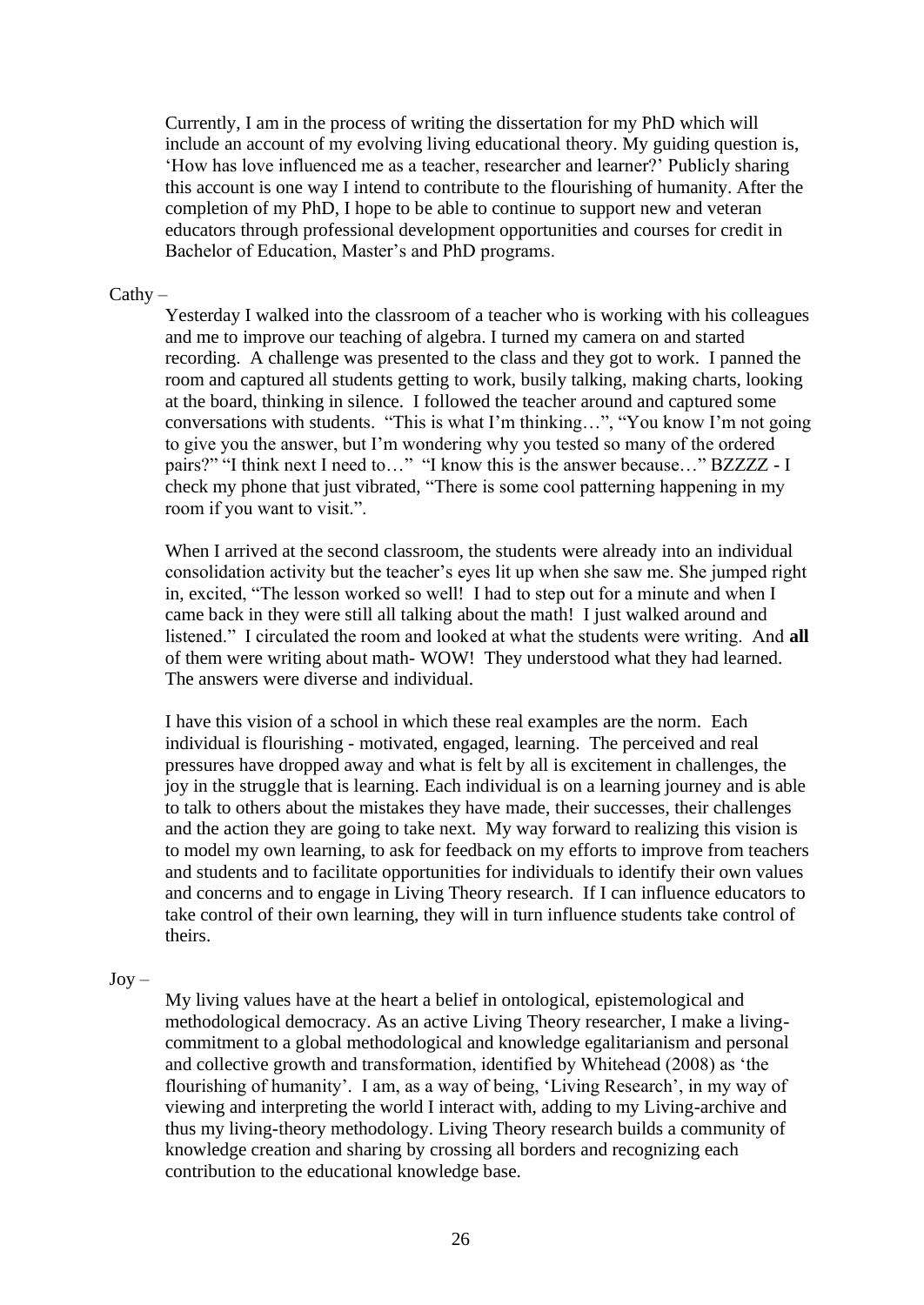Currently, I am in the process of writing the dissertation for my PhD which will include an account of my evolving living educational theory. My guiding question is, 'How has love influenced me as a teacher, researcher and learner?' Publicly sharing this account is one way I intend to contribute to the flourishing of humanity. After the completion of my PhD, I hope to be able to continue to support new and veteran educators through professional development opportunities and courses for credit in Bachelor of Education, Master's and PhD programs.

### $Cathy -$

Yesterday I walked into the classroom of a teacher who is working with his colleagues and me to improve our teaching of algebra. I turned my camera on and started recording. A challenge was presented to the class and they got to work. I panned the room and captured all students getting to work, busily talking, making charts, looking at the board, thinking in silence. I followed the teacher around and captured some conversations with students. "This is what I'm thinking…", "You know I'm not going to give you the answer, but I'm wondering why you tested so many of the ordered pairs?" "I think next I need to…" "I know this is the answer because…" BZZZZ - I check my phone that just vibrated, "There is some cool patterning happening in my room if you want to visit.".

When I arrived at the second classroom, the students were already into an individual consolidation activity but the teacher's eyes lit up when she saw me. She jumped right in, excited, "The lesson worked so well! I had to step out for a minute and when I came back in they were still all talking about the math! I just walked around and listened." I circulated the room and looked at what the students were writing. And **all**  of them were writing about math- WOW! They understood what they had learned. The answers were diverse and individual.

I have this vision of a school in which these real examples are the norm. Each individual is flourishing - motivated, engaged, learning. The perceived and real pressures have dropped away and what is felt by all is excitement in challenges, the joy in the struggle that is learning. Each individual is on a learning journey and is able to talk to others about the mistakes they have made, their successes, their challenges and the action they are going to take next. My way forward to realizing this vision is to model my own learning, to ask for feedback on my efforts to improve from teachers and students and to facilitate opportunities for individuals to identify their own values and concerns and to engage in Living Theory research. If I can influence educators to take control of their own learning, they will in turn influence students take control of theirs.

#### $Joy -$

My living values have at the heart a belief in ontological, epistemological and methodological democracy. As an active Living Theory researcher, I make a livingcommitment to a global methodological and knowledge egalitarianism and personal and collective growth and transformation, identified by Whitehead (2008) as 'the flourishing of humanity'. I am, as a way of being, 'Living Research', in my way of viewing and interpreting the world I interact with, adding to my Living-archive and thus my living-theory methodology. Living Theory research builds a community of knowledge creation and sharing by crossing all borders and recognizing each contribution to the educational knowledge base.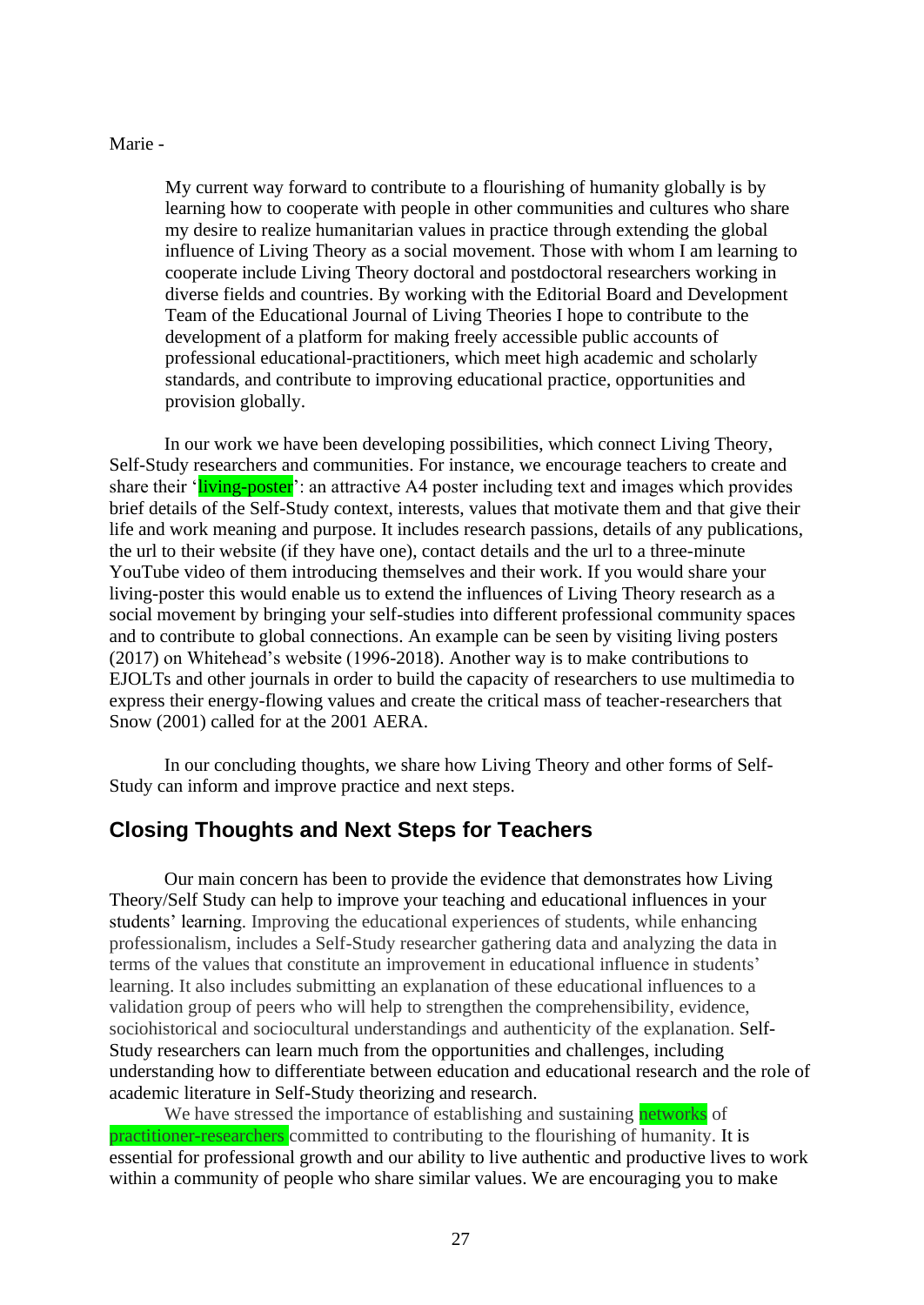#### Marie -

My current way forward to contribute to a flourishing of humanity globally is by learning how to cooperate with people in other communities and cultures who share my desire to realize humanitarian values in practice through extending the global influence of Living Theory as a social movement. Those with whom I am learning to cooperate include Living Theory doctoral and postdoctoral researchers working in diverse fields and countries. By working with the Editorial Board and Development Team of the Educational Journal of Living Theories I hope to contribute to the development of a platform for making freely accessible public accounts of professional educational-practitioners, which meet high academic and scholarly standards, and contribute to improving educational practice, opportunities and provision globally.

In our work we have been developing possibilities, which connect Living Theory, Self-Study researchers and communities. For instance, we encourage teachers to create and share their 'living-poster': an attractive A4 poster including text and images which provides brief details of the Self-Study context, interests, values that motivate them and that give their life and work meaning and purpose. It includes research passions, details of any publications, the url to their website (if they have one), contact details and the url to a three-minute YouTube video of them introducing themselves and their work. If you would share your living-poster this would enable us to extend the influences of Living Theory research as a social movement by bringing your self-studies into different professional community spaces and to contribute to global connections. An example can be seen by visiting living posters (2017) on Whitehead's website (1996-2018). Another way is to make contributions to EJOLTs and other journals in order to build the capacity of researchers to use multimedia to express their energy-flowing values and create the critical mass of teacher-researchers that Snow (2001) called for at the 2001 AERA.

In our concluding thoughts, we share how Living Theory and other forms of Self-Study can inform and improve practice and next steps.

## **Closing Thoughts and Next Steps for Teachers**

Our main concern has been to provide the evidence that demonstrates how Living Theory/Self Study can help to improve your teaching and educational influences in your students' learning. Improving the educational experiences of students, while enhancing professionalism, includes a Self-Study researcher gathering data and analyzing the data in terms of the values that constitute an improvement in educational influence in students' learning. It also includes submitting an explanation of these educational influences to a validation group of peers who will help to strengthen the comprehensibility, evidence, sociohistorical and sociocultural understandings and authenticity of the explanation. Self-Study researchers can learn much from the opportunities and challenges, including understanding how to differentiate between education and educational research and the role of academic literature in Self-Study theorizing and research.

We have stressed the importance of establishing and sustaining networks of practitioner-researchers committed to contributing to the flourishing of humanity. It is essential for professional growth and our ability to live authentic and productive lives to work within a community of people who share similar values. We are encouraging you to make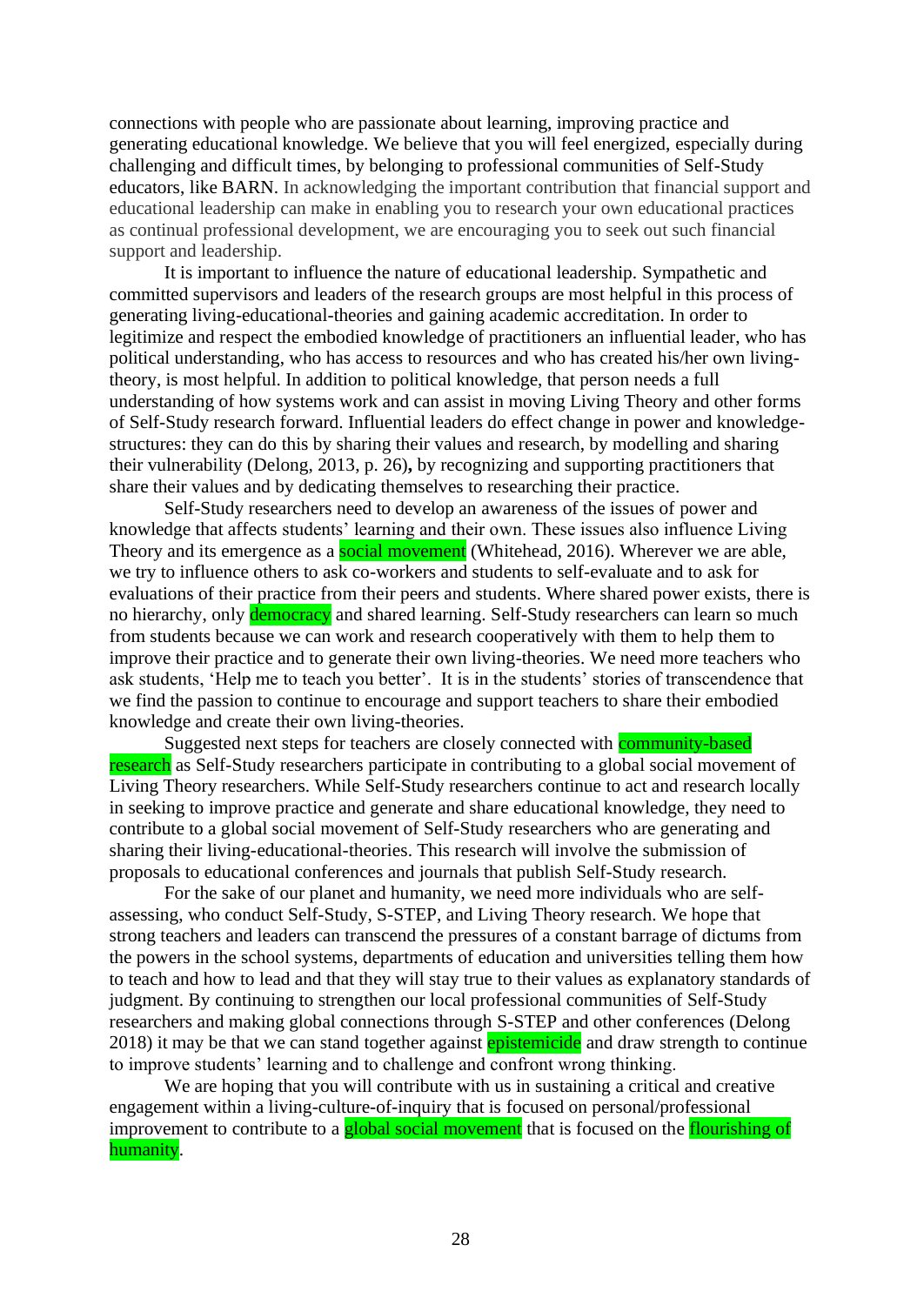connections with people who are passionate about learning, improving practice and generating educational knowledge. We believe that you will feel energized, especially during challenging and difficult times, by belonging to professional communities of Self-Study educators, like BARN. In acknowledging the important contribution that financial support and educational leadership can make in enabling you to research your own educational practices as continual professional development, we are encouraging you to seek out such financial support and leadership.

It is important to influence the nature of educational leadership. Sympathetic and committed supervisors and leaders of the research groups are most helpful in this process of generating living-educational-theories and gaining academic accreditation. In order to legitimize and respect the embodied knowledge of practitioners an influential leader, who has political understanding, who has access to resources and who has created his/her own livingtheory, is most helpful. In addition to political knowledge, that person needs a full understanding of how systems work and can assist in moving Living Theory and other forms of Self-Study research forward. Influential leaders do effect change in power and knowledgestructures: they can do this by sharing their values and research, by modelling and sharing their vulnerability (Delong, 2013, p. 26)**,** by recognizing and supporting practitioners that share their values and by dedicating themselves to researching their practice.

Self-Study researchers need to develop an awareness of the issues of power and knowledge that affects students' learning and their own. These issues also influence Living Theory and its emergence as a **social movement** (Whitehead, 2016). Wherever we are able, we try to influence others to ask co-workers and students to self-evaluate and to ask for evaluations of their practice from their peers and students. Where shared power exists, there is no hierarchy, only **democracy** and shared learning. Self-Study researchers can learn so much from students because we can work and research cooperatively with them to help them to improve their practice and to generate their own living-theories. We need more teachers who ask students, 'Help me to teach you better'. It is in the students' stories of transcendence that we find the passion to continue to encourage and support teachers to share their embodied knowledge and create their own living-theories.

Suggested next steps for teachers are closely connected with community-based research as Self-Study researchers participate in contributing to a global social movement of Living Theory researchers. While Self-Study researchers continue to act and research locally in seeking to improve practice and generate and share educational knowledge, they need to contribute to a global social movement of Self-Study researchers who are generating and sharing their living-educational-theories. This research will involve the submission of proposals to educational conferences and journals that publish Self-Study research.

For the sake of our planet and humanity, we need more individuals who are selfassessing, who conduct Self-Study, S-STEP, and Living Theory research. We hope that strong teachers and leaders can transcend the pressures of a constant barrage of dictums from the powers in the school systems, departments of education and universities telling them how to teach and how to lead and that they will stay true to their values as explanatory standards of judgment. By continuing to strengthen our local professional communities of Self-Study researchers and making global connections through S-STEP and other conferences (Delong 2018) it may be that we can stand together against **epistemicide** and draw strength to continue to improve students' learning and to challenge and confront wrong thinking.

We are hoping that you will contribute with us in sustaining a critical and creative engagement within a living-culture-of-inquiry that is focused on personal/professional improvement to contribute to a global social movement that is focused on the flourishing of humanity.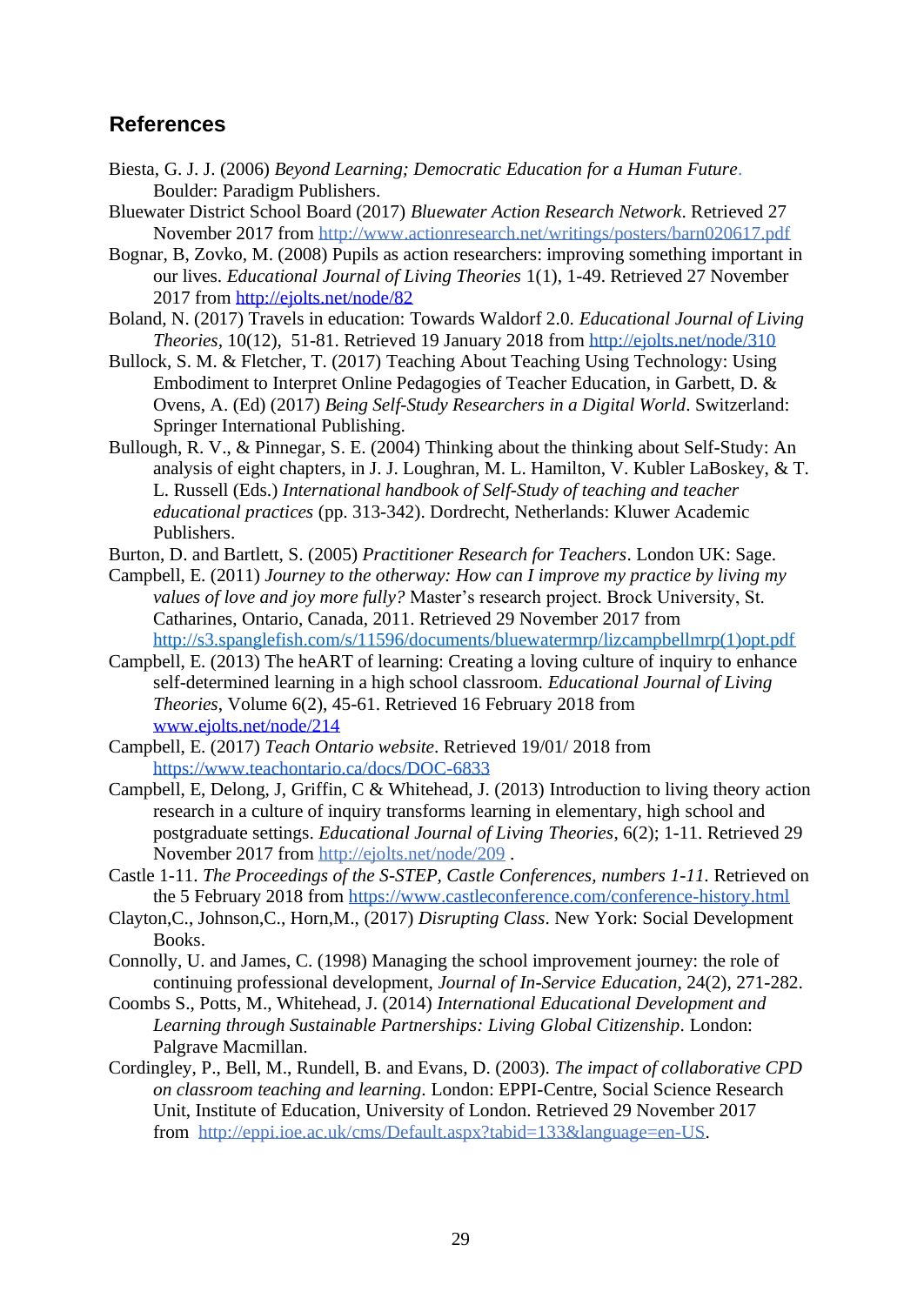## **References**

- Biesta, G. J. J. (2006) *Beyond Learning; Democratic Education for a Human Future*. Boulder: Paradigm Publishers.
- Bluewater District School Board (2017) *Bluewater Action Research Network*. Retrieved 27 November 2017 from<http://www.actionresearch.net/writings/posters/barn020617.pdf>
- Bognar, B, Zovko, M. (2008) Pupils as action researchers: improving something important in our lives. *Educational Journal of Living Theories* 1(1), 1-49. Retrieved 27 November 2017 from<http://ejolts.net/node/82>
- Boland, N. (2017) Travels in education: Towards Waldorf 2.0. *Educational Journal of Living Theories,* 10(12), 51-81. Retrieved 19 January 2018 from<http://ejolts.net/node/310>
- Bullock, S. M. & Fletcher, T. (2017) Teaching About Teaching Using Technology: Using Embodiment to Interpret Online Pedagogies of Teacher Education, in Garbett, D. & Ovens, A. (Ed) (2017) *Being Self-Study Researchers in a Digital World*. Switzerland: Springer International Publishing.
- Bullough, R. V., & Pinnegar, S. E. (2004) Thinking about the thinking about Self-Study: An analysis of eight chapters, in J. J. Loughran, M. L. Hamilton, V. Kubler LaBoskey, & T. L. Russell (Eds.) *International handbook of Self-Study of teaching and teacher educational practices* (pp. 313-342). Dordrecht, Netherlands: Kluwer Academic Publishers.
- Burton, D. and Bartlett, S. (2005) *Practitioner Research for Teachers*. London UK: Sage.
- Campbell, E. (2011) *Journey to the otherway: How can I improve my practice by living my values of love and joy more fully?* Master's research project. Brock University, St. Catharines, Ontario, Canada, 2011. Retrieved 29 November 2017 from [http://s3.spanglefish.com/s/11596/documents/bluewatermrp/lizcampbellmrp\(1\)opt.pdf](http://s3.spanglefish.com/s/11596/documents/bluewatermrp/lizcampbellmrp(1)opt.pdf)
- Campbell, E. (2013) The heART of learning: Creating a loving culture of inquiry to enhance self-determined learning in a high school classroom. *Educational Journal of Living Theories*, Volume 6(2), 45-61. Retrieved 16 February 2018 from [www.ejolts.net/node/214](http://www.ejolts.net/node/214)
- Campbell, E. (2017) *Teach Ontario website*. Retrieved 19/01/ 2018 from <https://www.teachontario.ca/docs/DOC-6833>
- Campbell, E, Delong, J, Griffin, C & Whitehead, J. (2013) [Introduction to living theory action](http://ejolts.net/node/211)  [research in a culture of inquiry transforms learning in elementary, high school and](http://ejolts.net/node/211)  [postgraduate settings.](http://ejolts.net/node/211) *Educational Journal of Living Theories*, 6(2); 1-11. Retrieved 29 November 2017 from<http://ejolts.net/node/209> .
- Castle 1-11. *The Proceedings of the S-STEP, Castle Conferences, numbers 1-11.* Retrieved on the 5 February 2018 from<https://www.castleconference.com/conference-history.html>
- Clayton,C., Johnson,C., Horn,M., (2017) *Disrupting Class*. New York: Social Development Books.
- Connolly, U. and James, C. (1998) Managing the school improvement journey: the role of continuing professional development, *Journal of In-Service Education*, 24(2), 271-282.
- Coombs S., Potts, M., Whitehead, J. (2014) *International Educational Development and Learning through Sustainable Partnerships: Living Global Citizenship*. London: Palgrave Macmillan.
- Cordingley, P., Bell, M., Rundell, B. and Evans, D. (2003). *The impact of collaborative CPD on classroom teaching and learning*. London: EPPI-Centre, Social Science Research Unit, Institute of Education, University of London. Retrieved 29 November 2017 from [http://eppi.ioe.ac.uk/cms/Default.aspx?tabid=133&language=en-US.](http://eppi.ioe.ac.uk/cms/Default.aspx?tabid=133&language=en-US)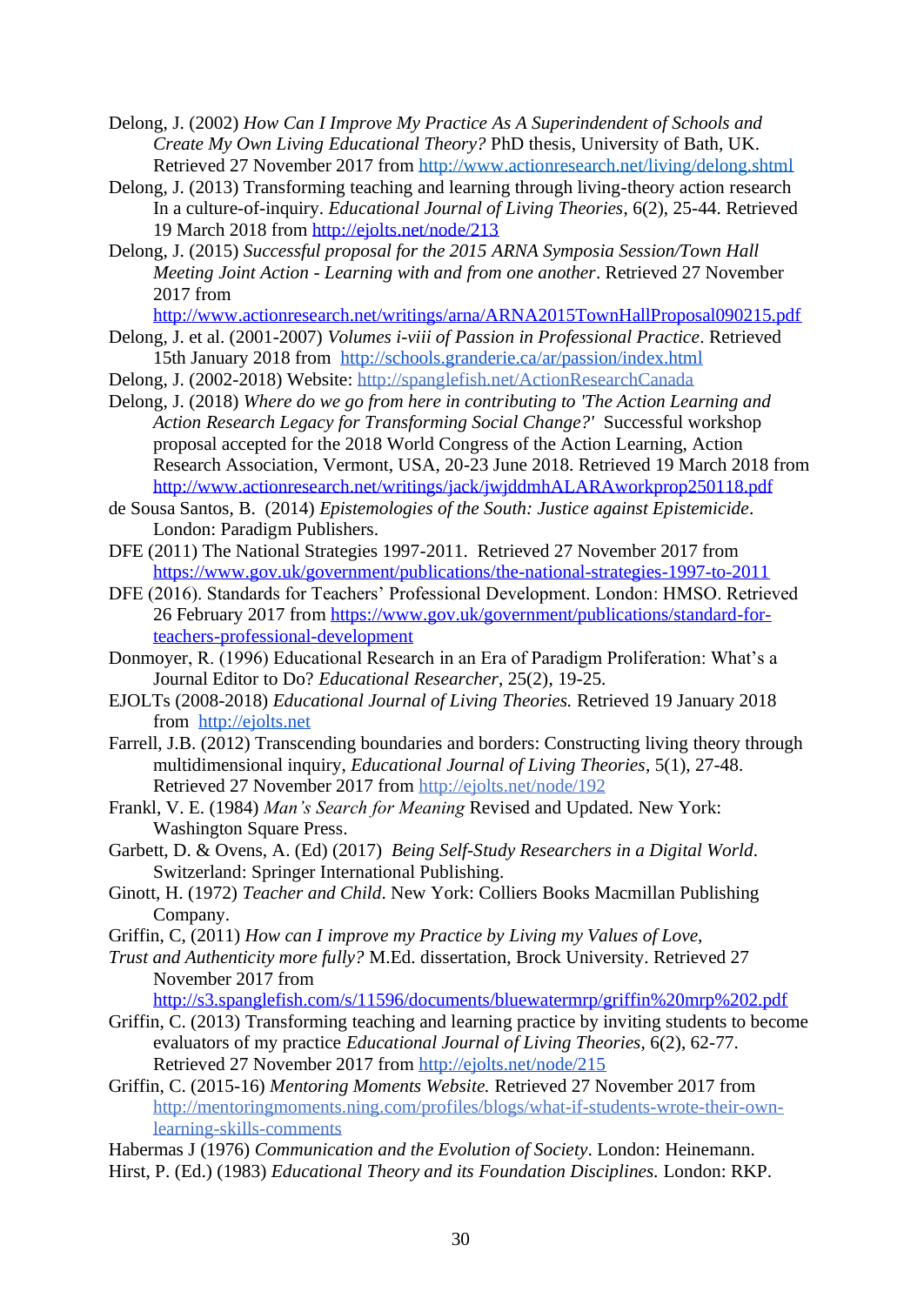- Delong, J. (2002) *How Can I Improve My Practice As A Superindendent of Schools and Create My Own Living Educational Theory?* PhD thesis, University of Bath, UK. Retrieved 27 November 2017 from<http://www.actionresearch.net/living/delong.shtml>
- Delong, J. (2013) Transforming teaching and learning through living-theory action research In a culture-of-inquiry. *Educational Journal of Living Theories*, 6(2), 25-44. Retrieved 19 March 2018 from http://ejolts.net/node/213
- Delong, J. (2015) *Successful proposal for the 2015 ARNA Symposia Session/Town Hall Meeting Joint Action - Learning with and from one another*. Retrieved 27 November 2017 from

<http://www.actionresearch.net/writings/arna/ARNA2015TownHallProposal090215.pdf>

- Delong, J. et al. (2001-2007) *Volumes i-viii of Passion in Professional Practice*. Retrieved 15th January 2018 from <http://schools.granderie.ca/ar/passion/index.html>
- Delong, J. (2002-2018) Website:<http://spanglefish.net/ActionResearchCanada>
- Delong, J. (2018) *Where do we go from here in contributing to 'The Action Learning and Action Research Legacy for Transforming Social Change?'* Successful workshop proposal accepted for the 2018 World Congress of the Action Learning, Action Research Association, Vermont, USA, 20-23 June 2018. Retrieved 19 March 2018 from <http://www.actionresearch.net/writings/jack/jwjddmhALARAworkprop250118.pdf>
- de Sousa Santos, B. (2014) *Epistemologies of the South: Justice against Epistemicide*. London: Paradigm Publishers.
- DFE (2011) The National Strategies 1997-2011. Retrieved 27 November 2017 from <https://www.gov.uk/government/publications/the-national-strategies-1997-to-2011>
- DFE (2016). Standards for Teachers' Professional Development. London: HMSO. Retrieved 26 February 2017 from [https://www.gov.uk/government/publications/standard-for](https://www.gov.uk/government/publications/standard-for-teachers-professional-development)[teachers-professional-development](https://www.gov.uk/government/publications/standard-for-teachers-professional-development)
- Donmoyer, R. (1996) Educational Research in an Era of Paradigm Proliferation: What's a Journal Editor to Do? *Educational Researcher*, 25(2), 19-25.
- EJOLTs (2008-2018) *Educational Journal of Living Theories.* Retrieved 19 January 2018 from [http://ejolts.net](http://ejolts.net/)
- Farrell, J.B. (2012) Transcending boundaries and borders: Constructing living theory through multidimensional inquiry, *Educational Journal of Living Theories*, 5(1), 27-48. Retrieved 27 November 2017 from <http://ejolts.net/node/192>
- Frankl, V. E. (1984) *Man's Search for Meaning* Revised and Updated. New York: Washington Square Press.
- Garbett, D. & Ovens, A. (Ed) (2017) *Being Self-Study Researchers in a Digital World*. Switzerland: Springer International Publishing.
- Ginott, H. (1972) *Teacher and Child*. New York: Colliers Books Macmillan Publishing Company.
- Griffin, C, (2011) *[How can I improve my Practice by Living my Values of Love,](http://s3.spanglefish.com/s/11596/documents/bluewatermrp/griffin%20mrp%202.pdf)*
- *[Trust and Authenticity more fully?](http://s3.spanglefish.com/s/11596/documents/bluewatermrp/griffin%20mrp%202.pdf)* M.Ed. dissertation, Brock University. Retrieved 27 November 2017 from

<http://s3.spanglefish.com/s/11596/documents/bluewatermrp/griffin%20mrp%202.pdf>

- Griffin, C. (2013) Transforming teaching and learning practice by inviting students to become evaluators of my practice *Educational Journal of Living Theories*, 6(2), 62-77. Retrieved 27 November 2017 from<http://ejolts.net/node/215>
- Griffin, C. (2015-16) *Mentoring Moments Website.* Retrieved 27 November 2017 from http://mentoringmoments.ning.com/profiles/blogs/what-if-students-wrote-their-ownlearning-skills-comments

Habermas J (1976) *Communication and the Evolution of Society*. London: Heinemann.

Hirst, P. (Ed.) (1983) *Educational Theory and its Foundation Disciplines.* London: RKP.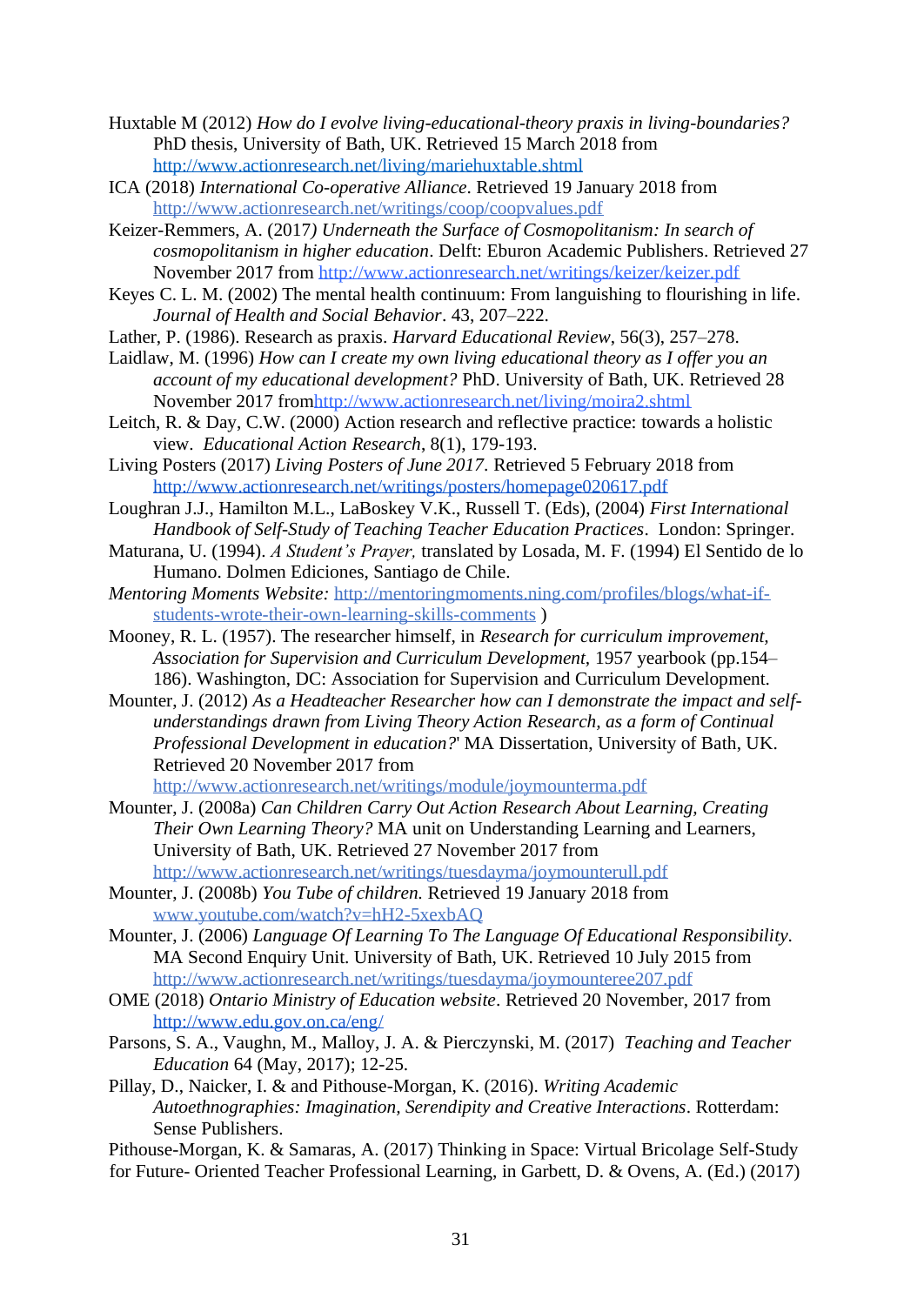- Huxtable M (2012) *How do I evolve living-educational-theory praxis in living-boundaries?* PhD thesis, University of Bath, UK. Retrieved 15 March 2018 from <http://www.actionresearch.net/living/mariehuxtable.shtml>
- ICA (2018) *International Co-operative Alliance*. Retrieved 19 January 2018 from <http://www.actionresearch.net/writings/coop/coopvalues.pdf>
- Keizer-Remmers, A. (2017*) Underneath the Surface of Cosmopolitanism: In search of cosmopolitanism in higher education*. Delft: Eburon Academic Publishers. Retrieved 27 November 2017 from<http://www.actionresearch.net/writings/keizer/keizer.pdf>
- Keyes C. L. M. (2002) The mental health continuum: From languishing to flourishing in life. *Journal of Health and Social Behavior*. 43, 207–222.
- Lather, P. (1986). Research as praxis. *Harvard Educational Review*, 56(3), 257–278.
- [Laidlaw, M. \(1996\)](http://www.actionresearch.net/living/moira2.shtml) *[How can I create my own living educational theory as I offer you an](http://www.actionresearch.net/living/moira2.shtml)  [account of my educational development?](http://www.actionresearch.net/living/moira2.shtml)* [PhD. University of Bath, UK.](http://www.actionresearch.net/living/moira2.shtml) Retrieved 28 November 2017 fromhttp://www.actionresearch.net/living/moira2.shtml
- Leitch, R. & Day, C.W. (2000) Action research and reflective practice: towards a holistic view. *Educational Action Research*, 8(1), 179-193.

Living Posters (2017) *Living Posters of June 2017*. Retrieved 5 February 2018 from <http://www.actionresearch.net/writings/posters/homepage020617.pdf>

Loughran J.J., Hamilton M.L., LaBoskey V.K., Russell T. (Eds), (2004) *First International Handbook of Self-Study of Teaching Teacher Education Practices*. London: Springer.

- Maturana, U. (1994). *A Student's Prayer,* translated by Losada, M. F. (1994) El Sentido de lo Humano. Dolmen Ediciones, Santiago de Chile.
- *Mentoring Moments Website:* [http://mentoringmoments.ning.com/profiles/blogs/what-if](http://mentoringmoments.ning.com/profiles/blogs/what-if-students-wrote-their-own-learning-skills-comments)[students-wrote-their-own-learning-skills-comments](http://mentoringmoments.ning.com/profiles/blogs/what-if-students-wrote-their-own-learning-skills-comments) )
- Mooney, R. L. (1957). The researcher himself, in *Research for curriculum improvement, Association for Supervision and Curriculum Development,* 1957 yearbook (pp.154– 186). Washington, DC: Association for Supervision and Curriculum Development.
- Mounter, J. (2012) *As a Headteacher Researcher how can I demonstrate the impact and selfunderstandings drawn from Living Theory Action Research, as a form of Continual Professional Development in education?*' MA Dissertation, University of Bath, UK. Retrieved 20 November 2017 from

<http://www.actionresearch.net/writings/module/joymounterma.pdf>

- Mounter, J. (2008a) *Can Children Carry Out Action Research About Learning, Creating Their Own Learning Theory?* MA unit on Understanding Learning and Learners, University of Bath, UK. Retrieved 27 November 2017 from <http://www.actionresearch.net/writings/tuesdayma/joymounterull.pdf>
- Mounter, J. (2008b) *You Tube of children.* Retrieved 19 January 2018 from [www.youtube.com/watch?v=hH2-5xexbAQ](http://www.youtube.com/watch?v=hH2-5xexbAQ)
- Mounter, J. (2006) *Language Of Learning To The Language Of Educational Responsibility*. MA Second Enquiry Unit. University of Bath, UK. Retrieved 10 July 2015 from <http://www.actionresearch.net/writings/tuesdayma/joymounteree207.pdf>
- OME (2018) *Ontario Ministry of Education website*. Retrieved 20 November, 2017 from <http://www.edu.gov.on.ca/eng/>
- Parsons, S. A., Vaughn, M., Malloy, J. A. & Pierczynski, M. (2017) *[Teaching and Teacher](http://dx.doi.org/10.1016/j.tate.2017.01.018)  [Education](http://dx.doi.org/10.1016/j.tate.2017.01.018)* [64 \(May, 2017\);](http://dx.doi.org/10.1016/j.tate.2017.01.018) 12-25.
- Pillay, D., Naicker, I. & and Pithouse-Morgan, K. (2016). *Writing Academic Autoethnographies: Imagination, Serendipity and Creative Interactions*. Rotterdam: Sense Publishers.

Pithouse-Morgan, K. & Samaras, A. (2017) Thinking in Space: Virtual Bricolage Self-Study for Future- Oriented Teacher Professional Learning, in Garbett, D. & Ovens, A. (Ed.) (2017)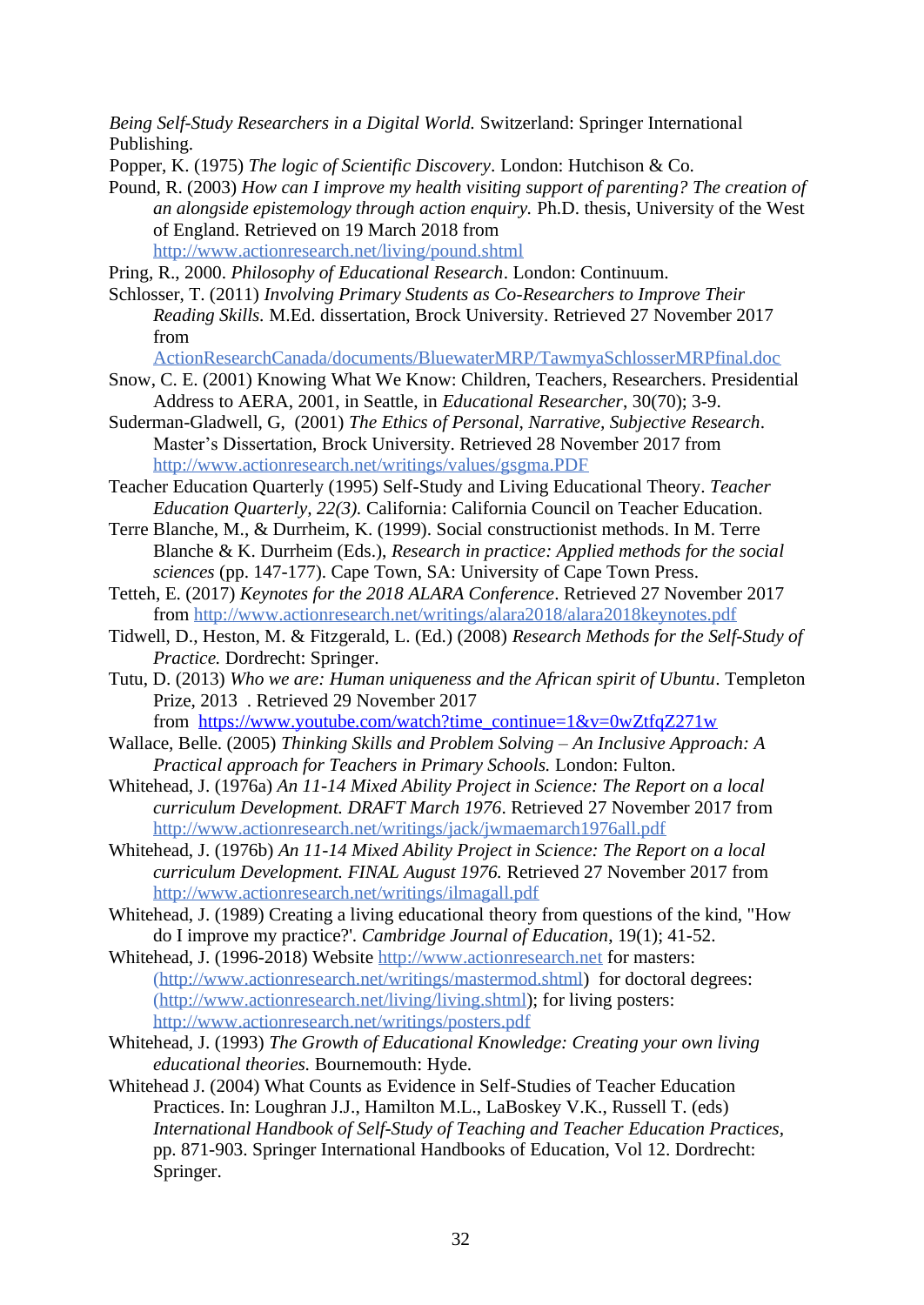*Being Self-Study Researchers in a Digital World.* Switzerland: Springer International Publishing.

Popper, K. (1975) *The logic of Scientific Discovery*. London: Hutchison & Co.

- Pound, R. (2003) *How can I improve my health visiting support of parenting? The creation of an alongside epistemology through action enquiry.* Ph.D. thesis, University of the West of England. Retrieved on 19 March 2018 from <http://www.actionresearch.net/living/pound.shtml>
- Pring, R., 2000. *Philosophy of Educational Research*. London: Continuum.
- Schlosser, T. (2011) *Involving Primary Students as Co-Researchers to Improve Their Reading Skills.* M.Ed. dissertation, Brock University. Retrieved 27 November 2017 from

[ActionResearchCanada/documents/BluewaterMRP/TawmyaSchlosserMRPfinal.doc](http://s3.spanglefish.com/s/11596/documents/bluewatermrp/tawmyaschlossermrpfinal.doc)

Snow, C. E. (2001) Knowing What We Know: Children, Teachers, Researchers. Presidential Address to AERA, 2001, in Seattle, in *Educational Researcher*, 30(70); 3-9.

Suderman-Gladwell, G, (2001) *The Ethics of Personal, Narrative, Subjective Research*. Master's Dissertation, Brock University. Retrieved 28 November 2017 from <http://www.actionresearch.net/writings/values/gsgma.PDF>

- Teacher Education Quarterly (1995) Self-Study and Living Educational Theory. *Teacher Education Quarterly, 22(3).* California: California Council on Teacher Education.
- Terre Blanche, M., & Durrheim, K. (1999). Social constructionist methods. In M. Terre Blanche & K. Durrheim (Eds.), *Research in practice: Applied methods for the social sciences* (pp. 147-177). Cape Town, SA: University of Cape Town Press.
- Tetteh, E. (2017) *Keynotes for the 2018 ALARA Conference*. Retrieved 27 November 2017 from<http://www.actionresearch.net/writings/alara2018/alara2018keynotes.pdf>
- Tidwell, D., Heston, M. & Fitzgerald, L. (Ed.) (2008) *Research Methods for the Self-Study of Practice.* Dordrecht: Springer.
- Tutu, D. (2013) *Who we are: Human uniqueness and the African spirit of Ubuntu*. Templeton Prize, 2013 . Retrieved 29 November 2017 from [https://www.youtube.com/watch?time\\_continue=1&v=0wZtfqZ271w](https://www.youtube.com/watch?time_continue=1&v=0wZtfqZ271w)
- Wallace, Belle. (2005) *Thinking Skills and Problem Solving – An Inclusive Approach: A Practical approach for Teachers in Primary Schools.* London: Fulton.
- Whitehead, J. (1976a) *An 11-14 Mixed Ability Project in Science: The Report on a local curriculum Development. DRAFT March 1976*. Retrieved 27 November 2017 from http://www.actionresearch.net/writings/jack/jwmaemarch1976all.pdf
- Whitehead, J. (1976b) *An 11-14 Mixed Ability Project in Science: The Report on a local curriculum Development. FINAL August 1976.* Retrieved 27 November 2017 from <http://www.actionresearch.net/writings/ilmagall.pdf>
- Whitehead, J. (1989) Creating a living educational theory from questions of the kind, "How do I improve my practice?'. *Cambridge Journal of Education*, 19(1); 41-52.
- Whitehead, J. (1996-2018) Website [http://www.actionresearch.net](http://www.actionresearch.net/writings/mastermod.shtml) for masters: [\(http://www.actionresearch.net/writings/mastermod.shtml\)](http://www.actionresearch.net/writings/mastermod.shtml) for doctoral degrees: [\(http://www.actionresearch.net/living/living.shtml\)](http://www.actionresearch.net/living/living.shtml); for living posters: http://www.actionresearch.net/writings/posters.pdf
- Whitehead, J. (1993) *The Growth of Educational Knowledge: Creating your own living educational theories.* Bournemouth: Hyde.
- Whitehead J. (2004) What Counts as Evidence in Self-Studies of Teacher Education Practices. In: Loughran J.J., Hamilton M.L., LaBoskey V.K., Russell T. (eds) *International Handbook of Self-Study of Teaching and Teacher Education Practices,* pp. 871-903. Springer International Handbooks of Education, Vol 12. Dordrecht: Springer.